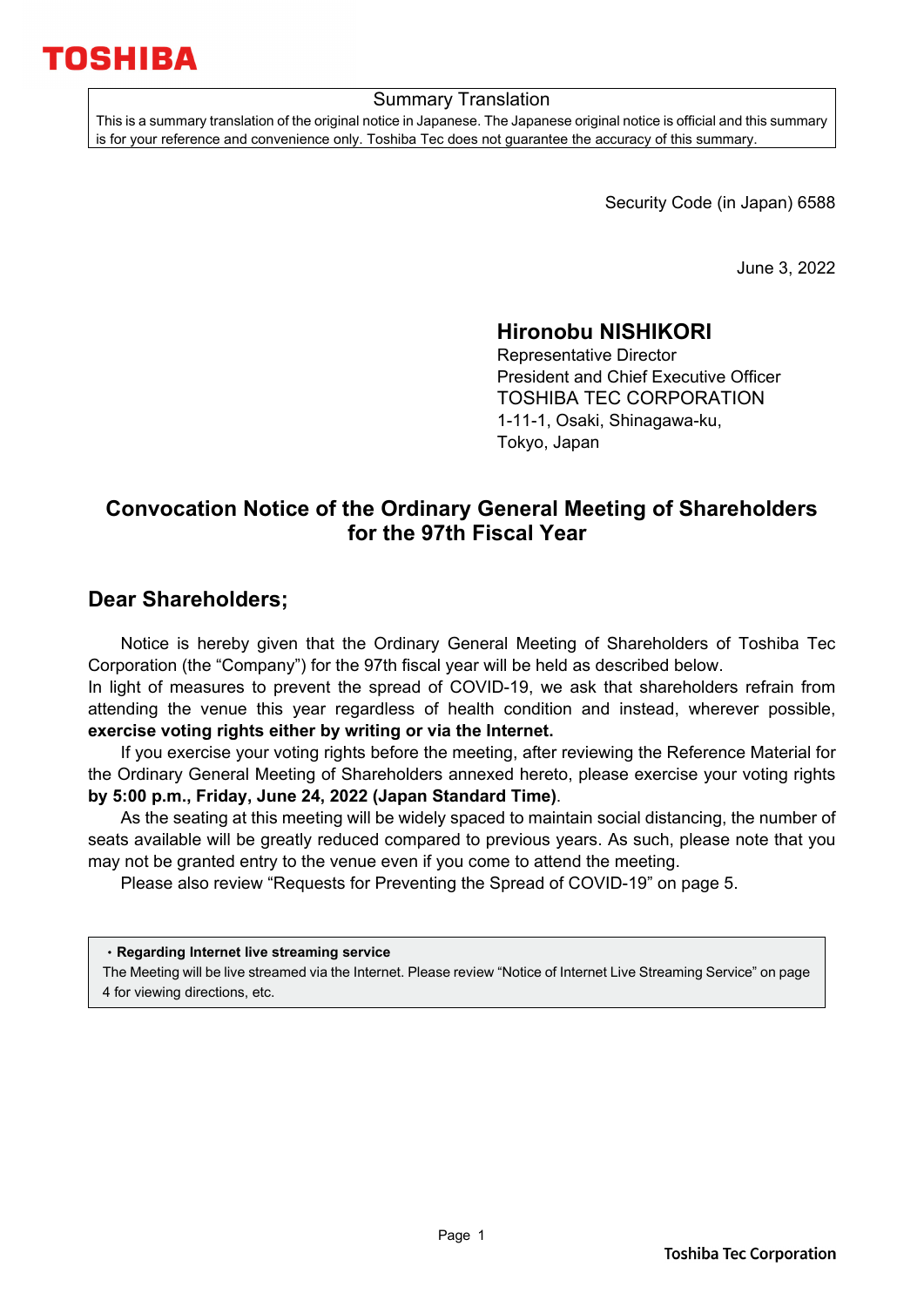### Summary Translation

This is a summary translation of the original notice in Japanese. The Japanese original notice is official and this summary is for your reference and convenience only. Toshiba Tec does not guarantee the accuracy of this summary.

Security Code (in Japan) 6588

June 3, 2022

## **Hironobu NISHIKORI**

Representative Director President and Chief Executive Officer TOSHIBA TEC CORPORATION 1-11-1, Osaki, Shinagawa-ku, Tokyo, Japan

## **Convocation Notice of the Ordinary General Meeting of Shareholders for the 97th Fiscal Year**

## **Dear Shareholders;**

Notice is hereby given that the Ordinary General Meeting of Shareholders of Toshiba Tec Corporation (the "Company") for the 97th fiscal year will be held as described below.

In light of measures to prevent the spread of COVID-19, we ask that shareholders refrain from attending the venue this year regardless of health condition and instead, wherever possible, **exercise voting rights either by writing or via the Internet.**

If you exercise your voting rights before the meeting, after reviewing the Reference Material for the Ordinary General Meeting of Shareholders annexed hereto, please exercise your voting rights **by 5:00 p.m., Friday, June 24, 2022 (Japan Standard Time)**.

As the seating at this meeting will be widely spaced to maintain social distancing, the number of seats available will be greatly reduced compared to previous years. As such, please note that you may not be granted entry to the venue even if you come to attend the meeting.

Please also review "Requests for Preventing the Spread of COVID-19" on page 5.

・**Regarding Internet live streaming service** 

The Meeting will be live streamed via the Internet. Please review "Notice of Internet Live Streaming Service" on page 4 for viewing directions, etc.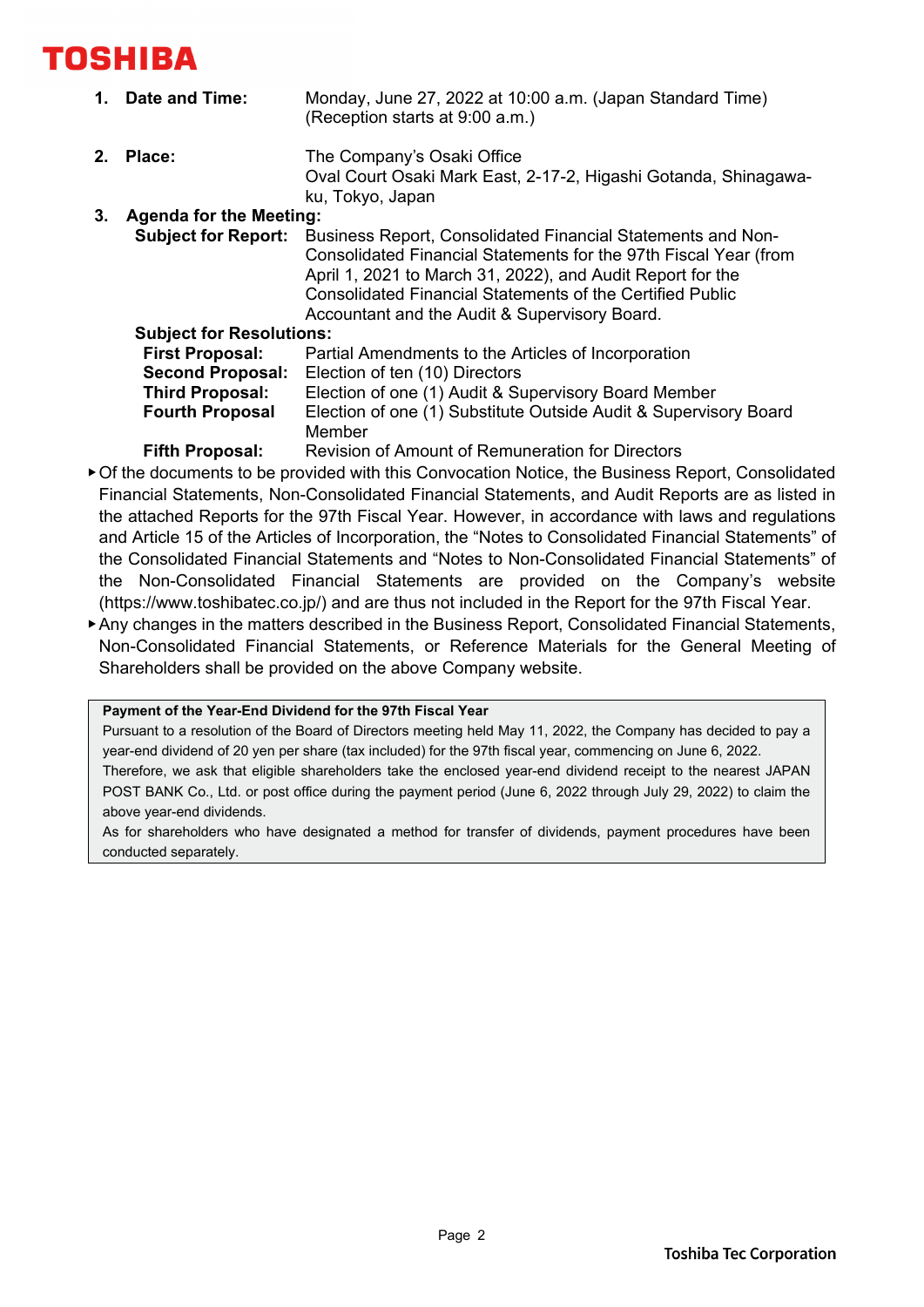**1. Date and Time:** Monday, June 27, 2022 at 10:00 a.m. (Japan Standard Time) (Reception starts at 9:00 a.m.) **2. Place:** The Company's Osaki Office Oval Court Osaki Mark East, 2-17-2, Higashi Gotanda, Shinagawaku, Tokyo, Japan **3. Agenda for the Meeting: Subject for Report:** Business Report, Consolidated Financial Statements and Non-Consolidated Financial Statements for the 97th Fiscal Year (from April 1, 2021 to March 31, 2022), and Audit Report for the Consolidated Financial Statements of the Certified Public Accountant and the Audit & Supervisory Board.

| <b>Subject for Resolutions:</b> |  |  |  |
|---------------------------------|--|--|--|
|                                 |  |  |  |

| Partial Amendments to the Articles of Incorporation                        |
|----------------------------------------------------------------------------|
| Election of ten (10) Directors                                             |
| Election of one (1) Audit & Supervisory Board Member                       |
| Election of one (1) Substitute Outside Audit & Supervisory Board<br>Member |
|                                                                            |

**Fifth Proposal:** Revision of Amount of Remuneration for Directors

- ▶ Of the documents to be provided with this Convocation Notice, the Business Report, Consolidated Financial Statements, Non-Consolidated Financial Statements, and Audit Reports are as listed in the attached Reports for the 97th Fiscal Year. However, in accordance with laws and regulations and Article 15 of the Articles of Incorporation, the "Notes to Consolidated Financial Statements" of the Consolidated Financial Statements and "Notes to Non-Consolidated Financial Statements" of the Non-Consolidated Financial Statements are provided on the Company's website (https://www.toshibatec.co.jp/) and are thus not included in the Report for the 97th Fiscal Year.
- ▶ Any changes in the matters described in the Business Report, Consolidated Financial Statements, Non-Consolidated Financial Statements, or Reference Materials for the General Meeting of Shareholders shall be provided on the above Company website.

#### **Payment of the Year-End Dividend for the 97th Fiscal Year**

Pursuant to a resolution of the Board of Directors meeting held May 11, 2022, the Company has decided to pay a year-end dividend of 20 yen per share (tax included) for the 97th fiscal year, commencing on June 6, 2022. Therefore, we ask that eligible shareholders take the enclosed year-end dividend receipt to the nearest JAPAN POST BANK Co., Ltd. or post office during the payment period (June 6, 2022 through July 29, 2022) to claim the above year-end dividends.

As for shareholders who have designated a method for transfer of dividends, payment procedures have been conducted separately.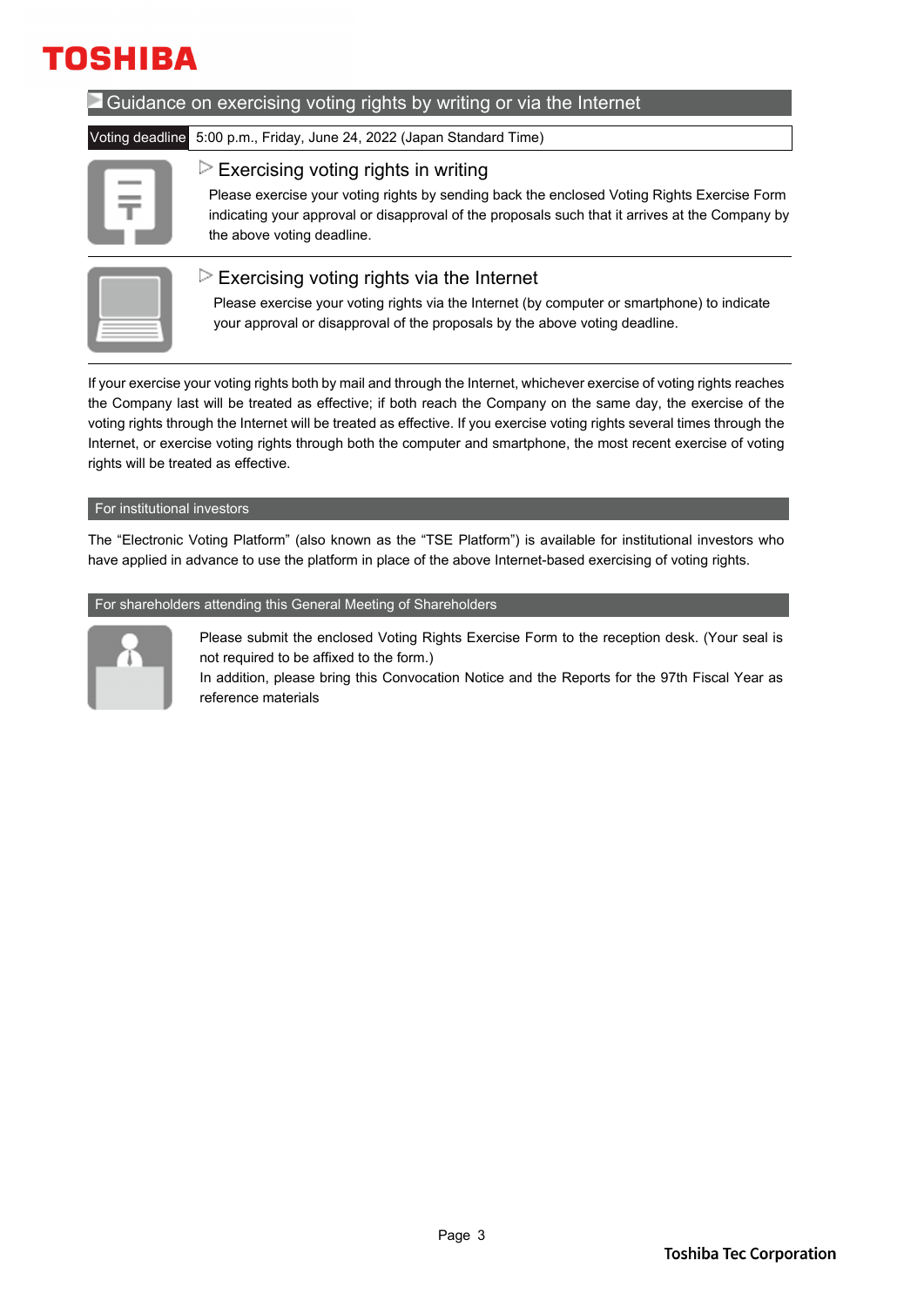| Voting deadline 5:00 p.m., Friday, June 24, 2022 (Japan Standard Time)                                                                                                                                                                                                                         |  |
|------------------------------------------------------------------------------------------------------------------------------------------------------------------------------------------------------------------------------------------------------------------------------------------------|--|
| $\triangleright$ Exercising voting rights in writing<br>-<br>╤<br>Please exercise your voting rights by sending back the enclosed Voting Rights Exercise Form<br>indicating your approval or disapproval of the proposals such that it arrives at the Company by<br>the above voting deadline. |  |



### $\triangleright$  Exercising voting rights via the Internet

Please exercise your voting rights via the Internet (by computer or smartphone) to indicate your approval or disapproval of the proposals by the above voting deadline.

If your exercise your voting rights both by mail and through the Internet, whichever exercise of voting rights reaches the Company last will be treated as effective; if both reach the Company on the same day, the exercise of the voting rights through the Internet will be treated as effective. If you exercise voting rights several times through the Internet, or exercise voting rights through both the computer and smartphone, the most recent exercise of voting rights will be treated as effective.

#### For institutional investors

The "Electronic Voting Platform" (also known as the "TSE Platform") is available for institutional investors who have applied in advance to use the platform in place of the above Internet-based exercising of voting rights.

#### For shareholders attending this General Meeting of Shareholders



Please submit the enclosed Voting Rights Exercise Form to the reception desk. (Your seal is not required to be affixed to the form.)

In addition, please bring this Convocation Notice and the Reports for the 97th Fiscal Year as reference materials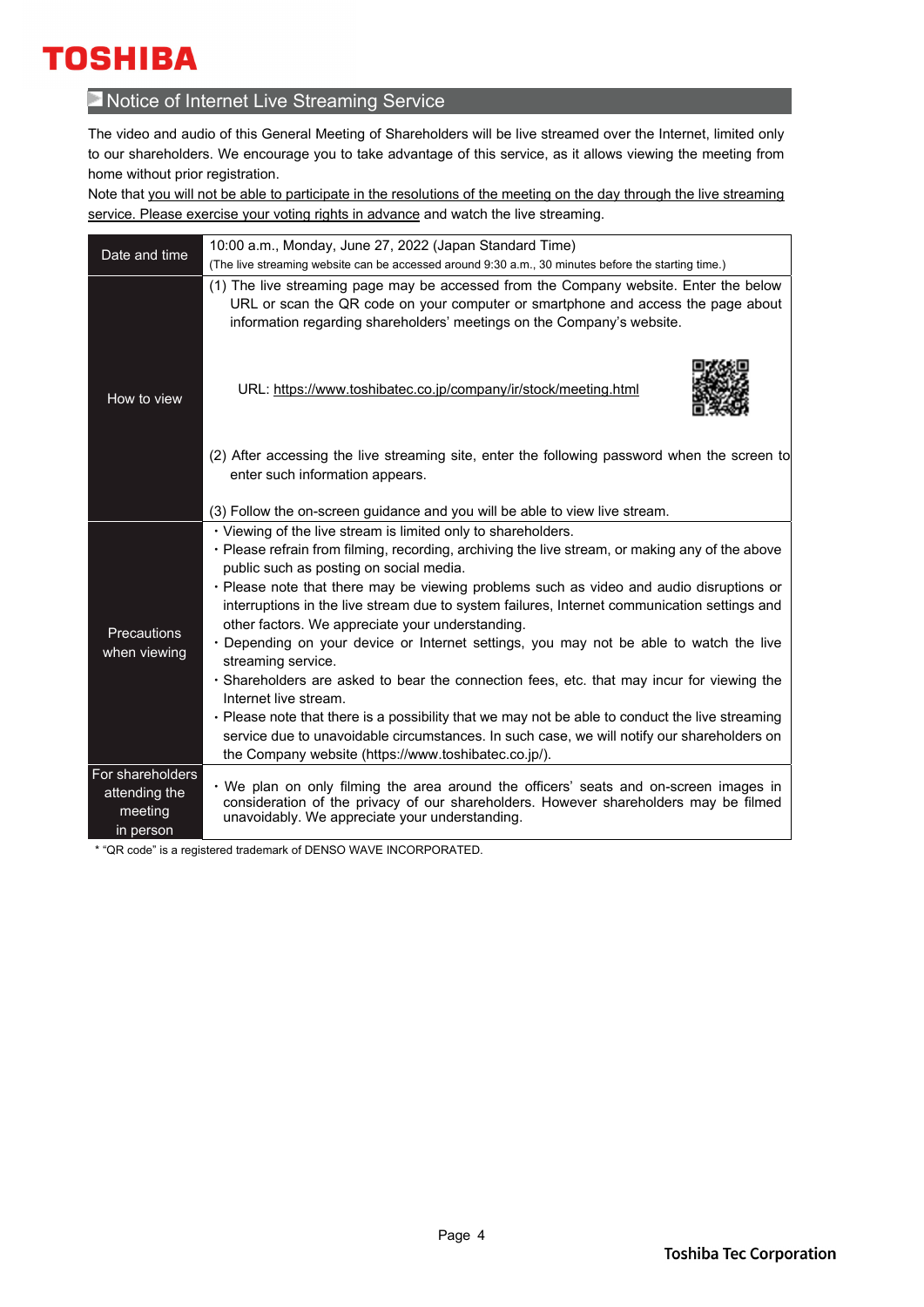## **Notice of Internet Live Streaming Service**

The video and audio of this General Meeting of Shareholders will be live streamed over the Internet, limited only to our shareholders. We encourage you to take advantage of this service, as it allows viewing the meeting from home without prior registration.

Note that you will not be able to participate in the resolutions of the meeting on the day through the live streaming service. Please exercise your voting rights in advance and watch the live streaming.

| Date and time                                             | 10:00 a.m., Monday, June 27, 2022 (Japan Standard Time)<br>(The live streaming website can be accessed around 9:30 a.m., 30 minutes before the starting time.)                                                                                                                                                                                                                                                                                                                                                                                                                                                                                                                                                                                                                                                                                                                                                                                            |  |  |  |  |
|-----------------------------------------------------------|-----------------------------------------------------------------------------------------------------------------------------------------------------------------------------------------------------------------------------------------------------------------------------------------------------------------------------------------------------------------------------------------------------------------------------------------------------------------------------------------------------------------------------------------------------------------------------------------------------------------------------------------------------------------------------------------------------------------------------------------------------------------------------------------------------------------------------------------------------------------------------------------------------------------------------------------------------------|--|--|--|--|
|                                                           | (1) The live streaming page may be accessed from the Company website. Enter the below<br>URL or scan the QR code on your computer or smartphone and access the page about<br>information regarding shareholders' meetings on the Company's website.                                                                                                                                                                                                                                                                                                                                                                                                                                                                                                                                                                                                                                                                                                       |  |  |  |  |
| How to view                                               | URL: https://www.toshibatec.co.jp/company/ir/stock/meeting.html                                                                                                                                                                                                                                                                                                                                                                                                                                                                                                                                                                                                                                                                                                                                                                                                                                                                                           |  |  |  |  |
|                                                           | (2) After accessing the live streaming site, enter the following password when the screen to<br>enter such information appears.                                                                                                                                                                                                                                                                                                                                                                                                                                                                                                                                                                                                                                                                                                                                                                                                                           |  |  |  |  |
|                                                           | (3) Follow the on-screen guidance and you will be able to view live stream.                                                                                                                                                                                                                                                                                                                                                                                                                                                                                                                                                                                                                                                                                                                                                                                                                                                                               |  |  |  |  |
| <b>Precautions</b><br>when viewing                        | • Viewing of the live stream is limited only to shareholders.<br>· Please refrain from filming, recording, archiving the live stream, or making any of the above<br>public such as posting on social media.<br>• Please note that there may be viewing problems such as video and audio disruptions or<br>interruptions in the live stream due to system failures, Internet communication settings and<br>other factors. We appreciate your understanding.<br>. Depending on your device or Internet settings, you may not be able to watch the live<br>streaming service.<br>· Shareholders are asked to bear the connection fees, etc. that may incur for viewing the<br>Internet live stream.<br>• Please note that there is a possibility that we may not be able to conduct the live streaming<br>service due to unavoidable circumstances. In such case, we will notify our shareholders on<br>the Company website (https://www.toshibatec.co.jp/). |  |  |  |  |
| For shareholders<br>attending the<br>meeting<br>in person | · We plan on only filming the area around the officers' seats and on-screen images in<br>consideration of the privacy of our shareholders. However shareholders may be filmed<br>unavoidably. We appreciate your understanding.                                                                                                                                                                                                                                                                                                                                                                                                                                                                                                                                                                                                                                                                                                                           |  |  |  |  |

\* "QR code" is a registered trademark of DENSO WAVE INCORPORATED.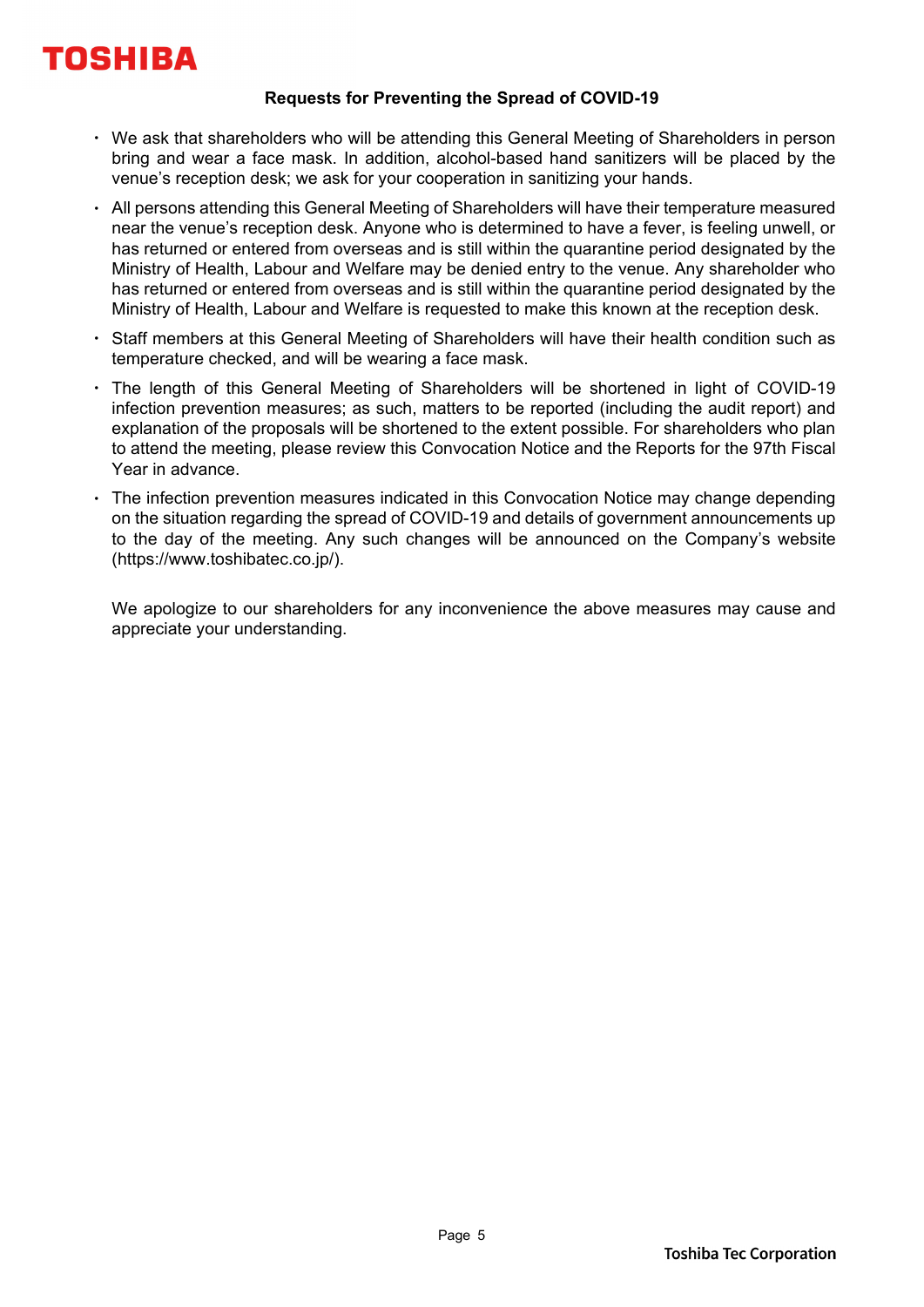### **Requests for Preventing the Spread of COVID-19**

- ・ We ask that shareholders who will be attending this General Meeting of Shareholders in person bring and wear a face mask. In addition, alcohol-based hand sanitizers will be placed by the venue's reception desk; we ask for your cooperation in sanitizing your hands.
- ・ All persons attending this General Meeting of Shareholders will have their temperature measured near the venue's reception desk. Anyone who is determined to have a fever, is feeling unwell, or has returned or entered from overseas and is still within the quarantine period designated by the Ministry of Health, Labour and Welfare may be denied entry to the venue. Any shareholder who has returned or entered from overseas and is still within the quarantine period designated by the Ministry of Health, Labour and Welfare is requested to make this known at the reception desk.
- ・ Staff members at this General Meeting of Shareholders will have their health condition such as temperature checked, and will be wearing a face mask.
- The length of this General Meeting of Shareholders will be shortened in light of COVID-19 infection prevention measures; as such, matters to be reported (including the audit report) and explanation of the proposals will be shortened to the extent possible. For shareholders who plan to attend the meeting, please review this Convocation Notice and the Reports for the 97th Fiscal Year in advance.
- ・ The infection prevention measures indicated in this Convocation Notice may change depending on the situation regarding the spread of COVID-19 and details of government announcements up to the day of the meeting. Any such changes will be announced on the Company's website (https://www.toshibatec.co.jp/).

 We apologize to our shareholders for any inconvenience the above measures may cause and appreciate your understanding.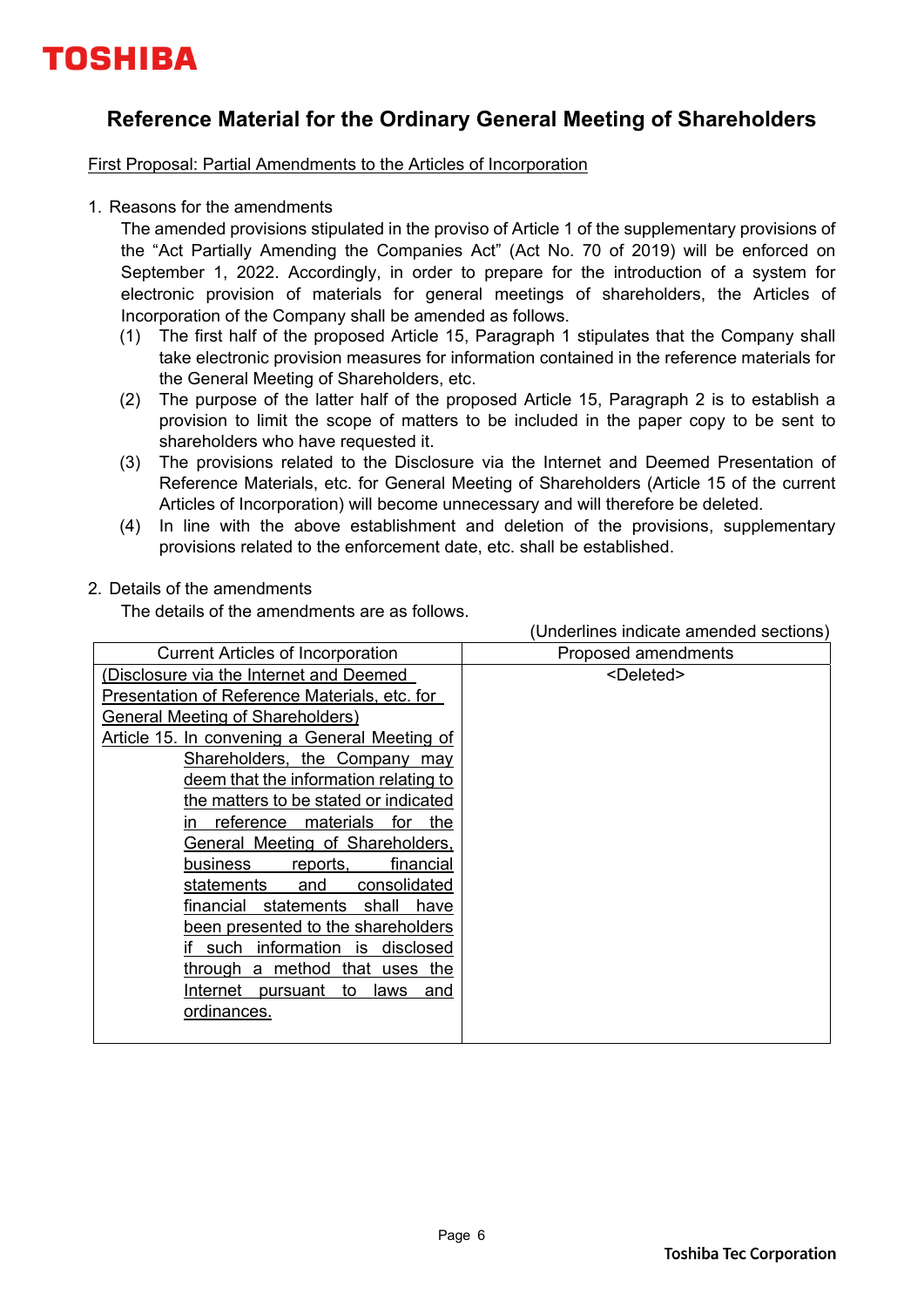

## **Reference Material for the Ordinary General Meeting of Shareholders**

### First Proposal: Partial Amendments to the Articles of Incorporation

### 1. Reasons for the amendments

The amended provisions stipulated in the proviso of Article 1 of the supplementary provisions of the "Act Partially Amending the Companies Act" (Act No. 70 of 2019) will be enforced on September 1, 2022. Accordingly, in order to prepare for the introduction of a system for electronic provision of materials for general meetings of shareholders, the Articles of Incorporation of the Company shall be amended as follows.

- (1) The first half of the proposed Article 15, Paragraph 1 stipulates that the Company shall take electronic provision measures for information contained in the reference materials for the General Meeting of Shareholders, etc.
- (2) The purpose of the latter half of the proposed Article 15, Paragraph 2 is to establish a provision to limit the scope of matters to be included in the paper copy to be sent to shareholders who have requested it.
- (3) The provisions related to the Disclosure via the Internet and Deemed Presentation of Reference Materials, etc. for General Meeting of Shareholders (Article 15 of the current Articles of Incorporation) will become unnecessary and will therefore be deleted.
- (4) In line with the above establishment and deletion of the provisions, supplementary provisions related to the enforcement date, etc. shall be established.

### 2. Details of the amendments

The details of the amendments are as follows.

|                                               | (Underlines indicate amended sections) |
|-----------------------------------------------|----------------------------------------|
| <b>Current Articles of Incorporation</b>      | Proposed amendments                    |
| (Disclosure via the Internet and Deemed       | <deleted></deleted>                    |
| Presentation of Reference Materials, etc. for |                                        |
| General Meeting of Shareholders)              |                                        |
| Article 15. In convening a General Meeting of |                                        |
| Shareholders, the Company may                 |                                        |
| deem that the information relating to         |                                        |
| the matters to be stated or indicated         |                                        |
| reference materials<br>for<br>the<br>ın       |                                        |
| General Meeting of Shareholders,              |                                        |
| financial<br>business<br>reports,             |                                        |
| consolidated<br>statements<br>and             |                                        |
| statements shall<br>financial<br>have         |                                        |
| been presented to the shareholders            |                                        |
| information<br>is disclosed<br>such           |                                        |
| through a method that uses the                |                                        |
| Internet<br>pursuant<br>to<br>laws<br>and     |                                        |
| <u>ordinances.</u>                            |                                        |
|                                               |                                        |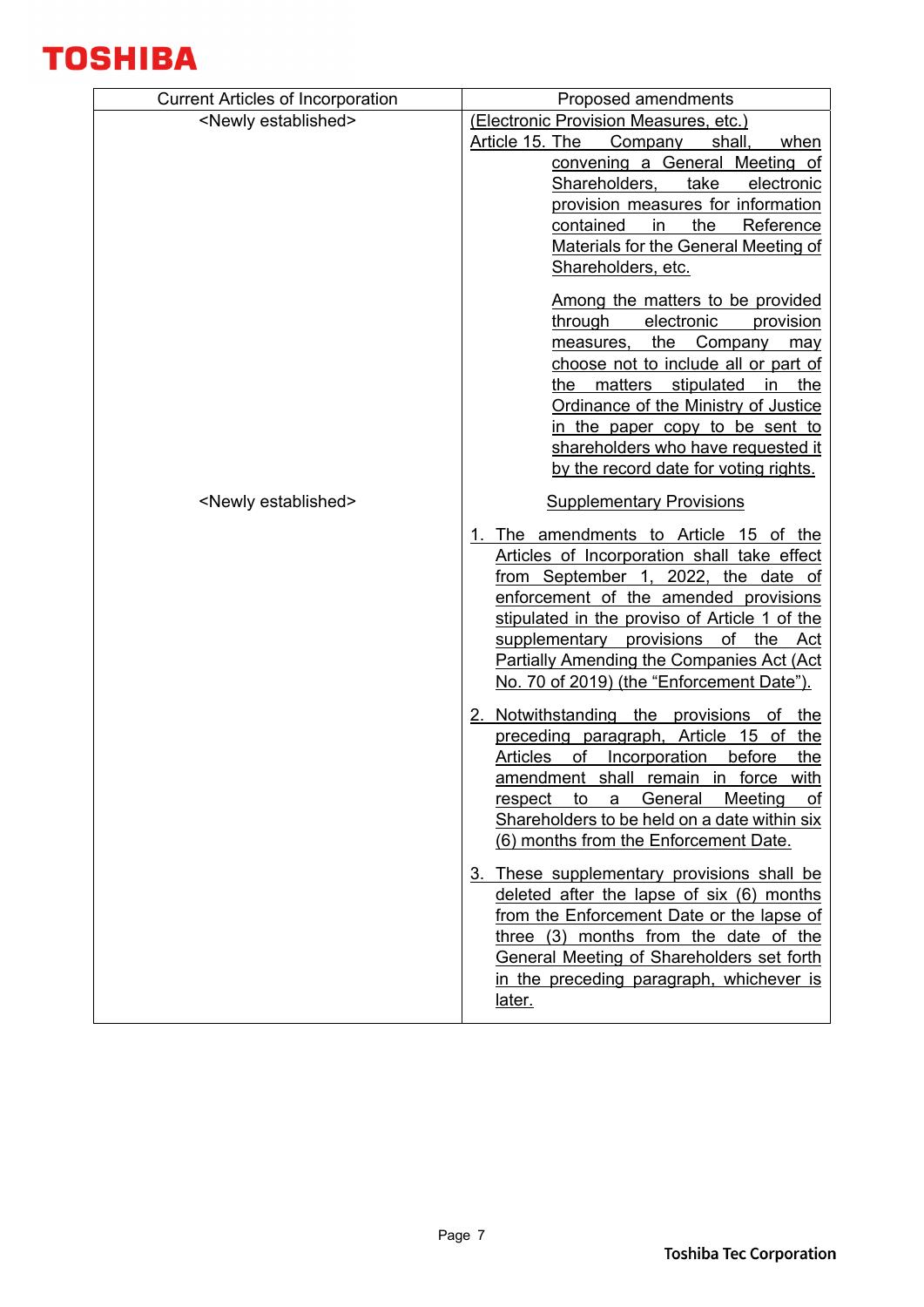

| <b>Current Articles of Incorporation</b> | Proposed amendments                                                                                                                                                                                                                                                                                                                                                                                                                                                                                                                                                                                                                                                                                                                                                                                                                                                                                                                                                                  |
|------------------------------------------|--------------------------------------------------------------------------------------------------------------------------------------------------------------------------------------------------------------------------------------------------------------------------------------------------------------------------------------------------------------------------------------------------------------------------------------------------------------------------------------------------------------------------------------------------------------------------------------------------------------------------------------------------------------------------------------------------------------------------------------------------------------------------------------------------------------------------------------------------------------------------------------------------------------------------------------------------------------------------------------|
| <newly established=""></newly>           | (Electronic Provision Measures, etc.)                                                                                                                                                                                                                                                                                                                                                                                                                                                                                                                                                                                                                                                                                                                                                                                                                                                                                                                                                |
|                                          | Article 15. The<br>shall,<br><b>Company</b><br><u>when</u>                                                                                                                                                                                                                                                                                                                                                                                                                                                                                                                                                                                                                                                                                                                                                                                                                                                                                                                           |
|                                          | convening a General Meeting of                                                                                                                                                                                                                                                                                                                                                                                                                                                                                                                                                                                                                                                                                                                                                                                                                                                                                                                                                       |
|                                          | Shareholders,<br>take<br>electronic                                                                                                                                                                                                                                                                                                                                                                                                                                                                                                                                                                                                                                                                                                                                                                                                                                                                                                                                                  |
|                                          | provision measures for information                                                                                                                                                                                                                                                                                                                                                                                                                                                                                                                                                                                                                                                                                                                                                                                                                                                                                                                                                   |
|                                          | contained<br>in<br>the<br>Reference                                                                                                                                                                                                                                                                                                                                                                                                                                                                                                                                                                                                                                                                                                                                                                                                                                                                                                                                                  |
|                                          | <b>Materials for the General Meeting of</b>                                                                                                                                                                                                                                                                                                                                                                                                                                                                                                                                                                                                                                                                                                                                                                                                                                                                                                                                          |
|                                          | Shareholders, etc.                                                                                                                                                                                                                                                                                                                                                                                                                                                                                                                                                                                                                                                                                                                                                                                                                                                                                                                                                                   |
|                                          | Among the matters to be provided                                                                                                                                                                                                                                                                                                                                                                                                                                                                                                                                                                                                                                                                                                                                                                                                                                                                                                                                                     |
|                                          | electronic<br>through<br>provision                                                                                                                                                                                                                                                                                                                                                                                                                                                                                                                                                                                                                                                                                                                                                                                                                                                                                                                                                   |
|                                          | the<br><b>Company</b><br>measures,<br>may                                                                                                                                                                                                                                                                                                                                                                                                                                                                                                                                                                                                                                                                                                                                                                                                                                                                                                                                            |
|                                          | choose not to include all or part of                                                                                                                                                                                                                                                                                                                                                                                                                                                                                                                                                                                                                                                                                                                                                                                                                                                                                                                                                 |
|                                          | matters<br>stipulated<br>the<br>in<br>the                                                                                                                                                                                                                                                                                                                                                                                                                                                                                                                                                                                                                                                                                                                                                                                                                                                                                                                                            |
|                                          | Ordinance of the Ministry of Justice                                                                                                                                                                                                                                                                                                                                                                                                                                                                                                                                                                                                                                                                                                                                                                                                                                                                                                                                                 |
|                                          | in the paper copy to be sent to                                                                                                                                                                                                                                                                                                                                                                                                                                                                                                                                                                                                                                                                                                                                                                                                                                                                                                                                                      |
|                                          | shareholders who have requested it                                                                                                                                                                                                                                                                                                                                                                                                                                                                                                                                                                                                                                                                                                                                                                                                                                                                                                                                                   |
|                                          | by the record date for voting rights.                                                                                                                                                                                                                                                                                                                                                                                                                                                                                                                                                                                                                                                                                                                                                                                                                                                                                                                                                |
| <newly established=""></newly>           | <b>Supplementary Provisions</b>                                                                                                                                                                                                                                                                                                                                                                                                                                                                                                                                                                                                                                                                                                                                                                                                                                                                                                                                                      |
|                                          | 1. The amendments to Article 15 of the<br>Articles of Incorporation shall take effect<br>from September 1, 2022, the date of<br>enforcement of the amended provisions<br>stipulated in the proviso of Article 1 of the<br>supplementary<br>provisions<br>of<br>the<br>Act<br><b>Partially Amending the Companies Act (Act)</b><br>No. 70 of 2019) (the "Enforcement Date").<br>Notwithstanding<br><u>the</u><br>the<br>2.<br>provisions<br><u>of</u><br>preceding paragraph, Article 15 of<br>the<br><b>Articles</b><br>of<br>Incorporation<br>before<br><u>the</u><br>amendment shall remain in force with<br>to<br>General<br>Meeting<br>respect<br>a<br>of<br>Shareholders to be held on a date within six<br>(6) months from the Enforcement Date.<br>3. These supplementary provisions shall be<br>deleted after the lapse of six (6) months<br>from the Enforcement Date or the lapse of<br>three (3) months from the date of the<br>General Meeting of Shareholders set forth |
|                                          | in the preceding paragraph, whichever is<br>later.                                                                                                                                                                                                                                                                                                                                                                                                                                                                                                                                                                                                                                                                                                                                                                                                                                                                                                                                   |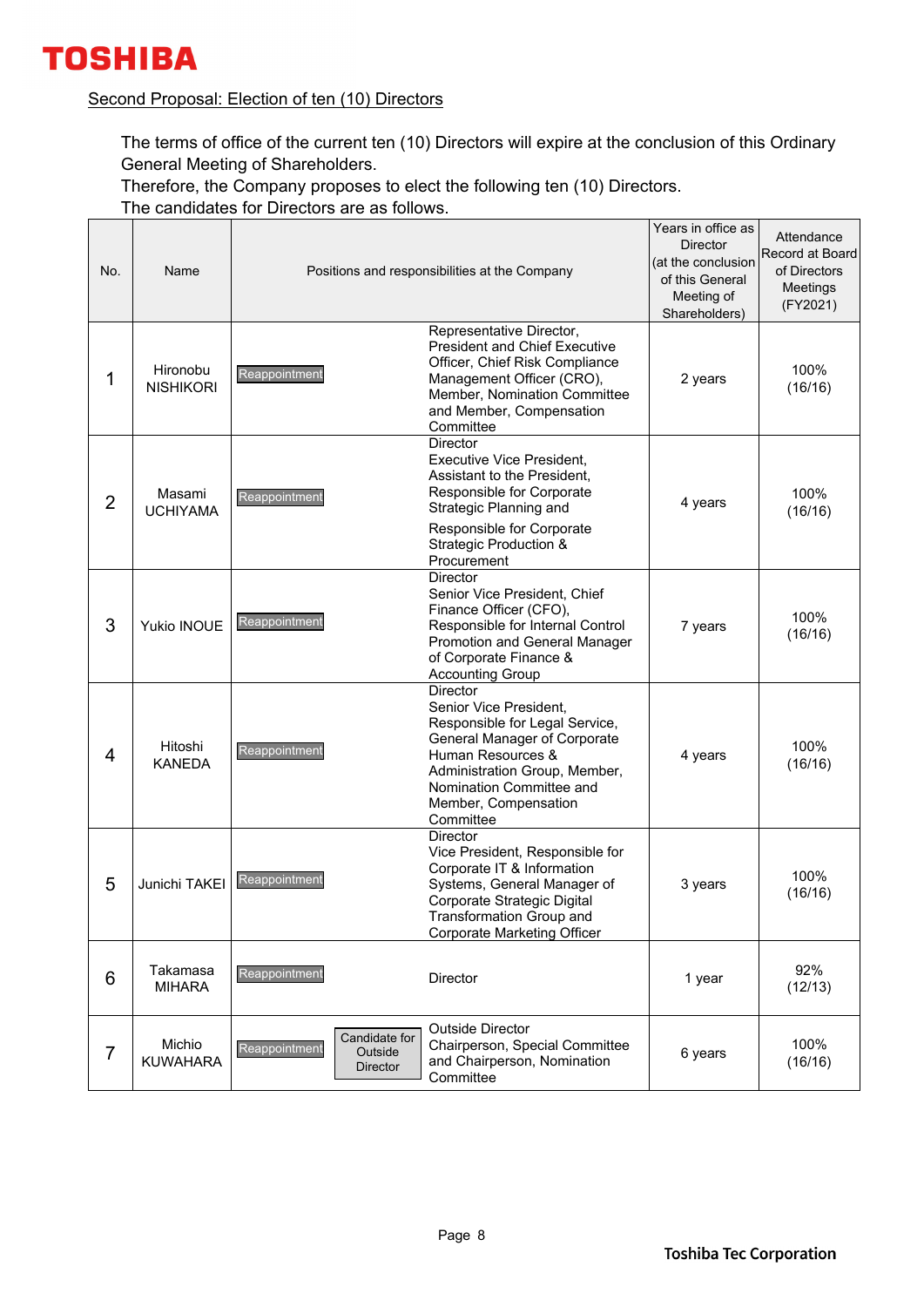

### Second Proposal: Election of ten (10) Directors

The terms of office of the current ten (10) Directors will expire at the conclusion of this Ordinary General Meeting of Shareholders.

Therefore, the Company proposes to elect the following ten (10) Directors.

The candidates for Directors are as follows.

| No.            | Name                         | Positions and responsibilities at the Company                |                                                                                                                                                                                                                                    | Years in office as<br><b>Director</b><br>(at the conclusion<br>of this General<br>Meeting of<br>Shareholders) | Attendance<br>Record at Board<br>of Directors<br>Meetings<br>(FY2021) |
|----------------|------------------------------|--------------------------------------------------------------|------------------------------------------------------------------------------------------------------------------------------------------------------------------------------------------------------------------------------------|---------------------------------------------------------------------------------------------------------------|-----------------------------------------------------------------------|
| 1              | Hironobu<br><b>NISHIKORI</b> | Reappointment                                                | Representative Director,<br><b>President and Chief Executive</b><br>Officer, Chief Risk Compliance<br>Management Officer (CRO),<br>Member, Nomination Committee<br>and Member, Compensation<br>Committee                           | 2 years                                                                                                       | 100%<br>(16/16)                                                       |
| $\overline{2}$ | Masami<br><b>UCHIYAMA</b>    | Reappointment                                                | <b>Director</b><br><b>Executive Vice President,</b><br>Assistant to the President,<br>Responsible for Corporate<br>Strategic Planning and<br>Responsible for Corporate<br><b>Strategic Production &amp;</b><br>Procurement         | 4 years                                                                                                       | 100%<br>(16/16)                                                       |
| 3              | <b>Yukio INOUE</b>           | Reappointment                                                | <b>Director</b><br>Senior Vice President, Chief<br>Finance Officer (CFO),<br>Responsible for Internal Control<br>Promotion and General Manager<br>of Corporate Finance &<br><b>Accounting Group</b>                                | 7 years                                                                                                       | 100%<br>(16/16)                                                       |
| 4              | Hitoshi<br><b>KANEDA</b>     | Reappointment                                                | <b>Director</b><br>Senior Vice President,<br>Responsible for Legal Service,<br>General Manager of Corporate<br>Human Resources &<br>Administration Group, Member,<br>Nomination Committee and<br>Member, Compensation<br>Committee | 4 years                                                                                                       | 100%<br>(16/16)                                                       |
| 5              | Junichi TAKEI                | Reappointment                                                | Director<br>Vice President, Responsible for<br>Corporate IT & Information<br>Systems, General Manager of<br>Corporate Strategic Digital<br>Transformation Group and<br><b>Corporate Marketing Officer</b>                          | 3 years                                                                                                       | 100%<br>(16/16)                                                       |
| 6              | Takamasa<br><b>MIHARA</b>    | Reappointment                                                | <b>Director</b>                                                                                                                                                                                                                    | 1 year                                                                                                        | 92%<br>(12/13)                                                        |
| $\overline{7}$ | Michio<br><b>KUWAHARA</b>    | Candidate for<br>Reappointment<br>Outside<br><b>Director</b> | <b>Outside Director</b><br>Chairperson, Special Committee<br>and Chairperson, Nomination<br>Committee                                                                                                                              | 6 years                                                                                                       | 100%<br>(16/16)                                                       |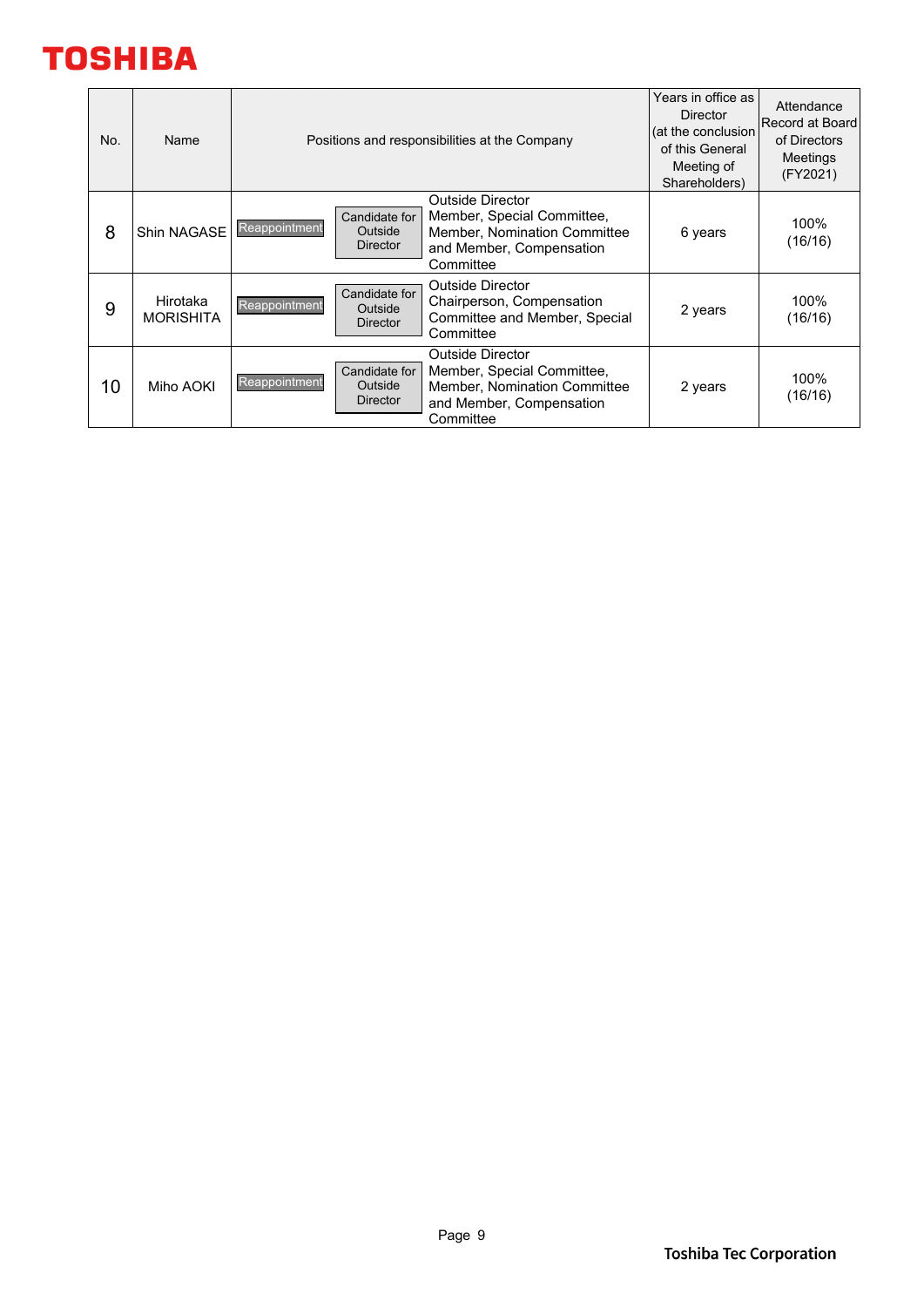| No. | Name                         | Positions and responsibilities at the Company                |                                                                                                                                       | Years in office as<br><b>Director</b><br>(at the conclusion<br>of this General<br>Meeting of<br>Shareholders) | Attendance<br>Record at Board<br>of Directors<br>Meetings<br>(FY2021) |
|-----|------------------------------|--------------------------------------------------------------|---------------------------------------------------------------------------------------------------------------------------------------|---------------------------------------------------------------------------------------------------------------|-----------------------------------------------------------------------|
| 8   | Shin NAGASE                  | Candidate for<br>Reappointment<br>Outside<br><b>Director</b> | <b>Outside Director</b><br>Member, Special Committee,<br><b>Member, Nomination Committee</b><br>and Member, Compensation<br>Committee | 6 years                                                                                                       | 100%<br>(16/16)                                                       |
| 9   | Hirotaka<br><b>MORISHITA</b> | Candidate for<br>Reappointment<br>Outside<br>Director        | <b>Outside Director</b><br>Chairperson, Compensation<br>Committee and Member, Special<br>Committee                                    | 2 years                                                                                                       | 100%<br>(16/16)                                                       |
| 10  | Miho AOKI                    | Candidate for<br>Reappointment<br>Outside<br><b>Director</b> | <b>Outside Director</b><br>Member, Special Committee,<br>Member, Nomination Committee<br>and Member, Compensation<br>Committee        | 2 years                                                                                                       | 100%<br>(16/16)                                                       |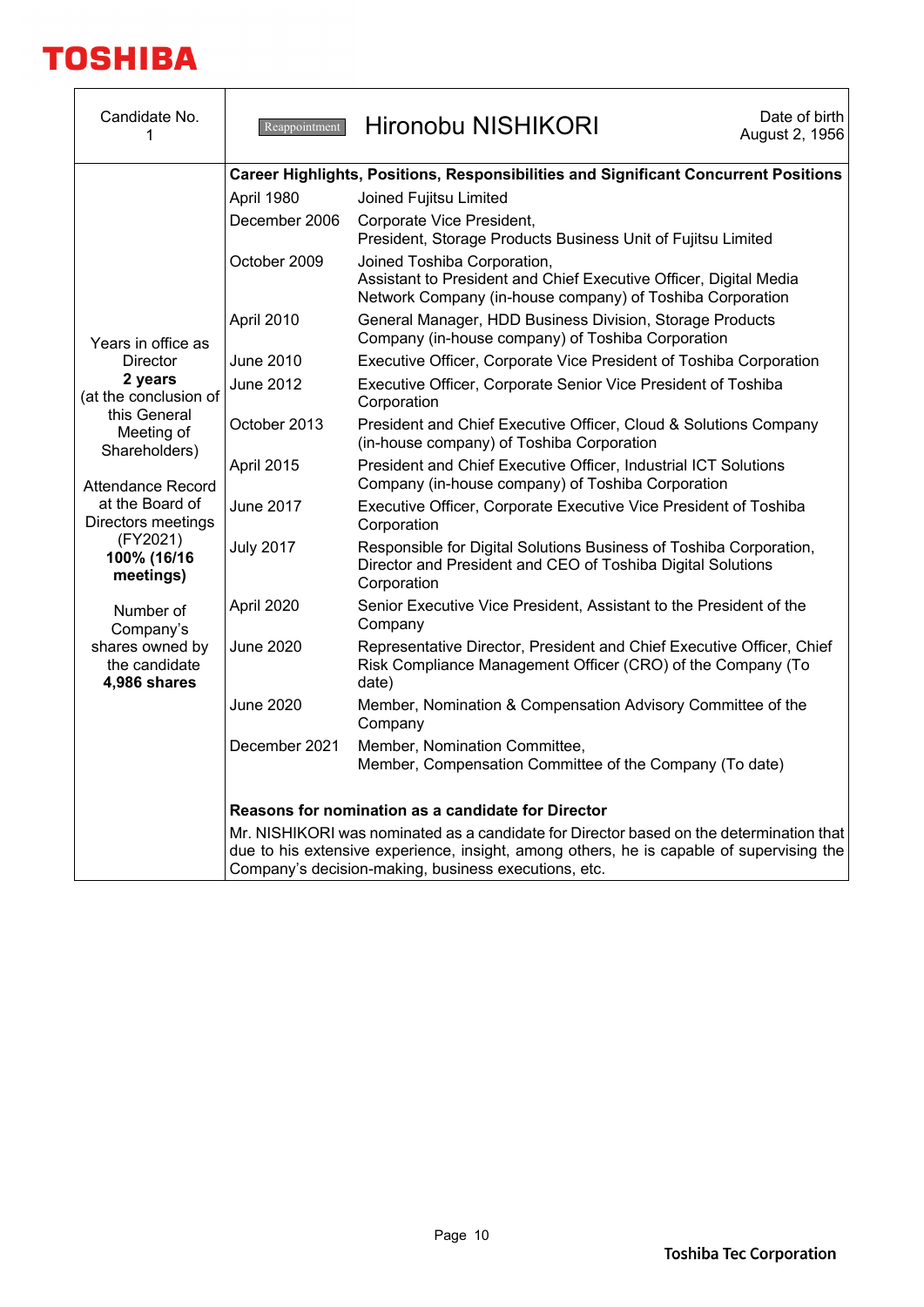

| Candidate No.<br>1                                                                                                                                       | Reappointment                                      | <b>Hironobu NISHIKORI</b>                                                                                                                                                                                                                   | Date of birth<br>August 2, 1956 |  |
|----------------------------------------------------------------------------------------------------------------------------------------------------------|----------------------------------------------------|---------------------------------------------------------------------------------------------------------------------------------------------------------------------------------------------------------------------------------------------|---------------------------------|--|
|                                                                                                                                                          |                                                    | Career Highlights, Positions, Responsibilities and Significant Concurrent Positions                                                                                                                                                         |                                 |  |
|                                                                                                                                                          | April 1980                                         | Joined Fujitsu Limited                                                                                                                                                                                                                      |                                 |  |
|                                                                                                                                                          | December 2006                                      | Corporate Vice President,<br>President, Storage Products Business Unit of Fujitsu Limited                                                                                                                                                   |                                 |  |
|                                                                                                                                                          | October 2009                                       | Joined Toshiba Corporation,<br>Assistant to President and Chief Executive Officer, Digital Media<br>Network Company (in-house company) of Toshiba Corporation                                                                               |                                 |  |
| Years in office as                                                                                                                                       | April 2010                                         | General Manager, HDD Business Division, Storage Products<br>Company (in-house company) of Toshiba Corporation                                                                                                                               |                                 |  |
| <b>Director</b>                                                                                                                                          | <b>June 2010</b>                                   | Executive Officer, Corporate Vice President of Toshiba Corporation                                                                                                                                                                          |                                 |  |
| 2 years<br>(at the conclusion of                                                                                                                         | <b>June 2012</b>                                   | Executive Officer, Corporate Senior Vice President of Toshiba<br>Corporation                                                                                                                                                                |                                 |  |
| this General<br>Meeting of<br>Shareholders)<br><b>Attendance Record</b><br>at the Board of<br>Directors meetings<br>(FY2021)<br>100% (16/16<br>meetings) | October 2013                                       | President and Chief Executive Officer, Cloud & Solutions Company<br>(in-house company) of Toshiba Corporation                                                                                                                               |                                 |  |
|                                                                                                                                                          | April 2015                                         | President and Chief Executive Officer, Industrial ICT Solutions<br>Company (in-house company) of Toshiba Corporation                                                                                                                        |                                 |  |
|                                                                                                                                                          | June 2017                                          | Executive Officer, Corporate Executive Vice President of Toshiba<br>Corporation                                                                                                                                                             |                                 |  |
|                                                                                                                                                          | <b>July 2017</b>                                   | Responsible for Digital Solutions Business of Toshiba Corporation,<br>Director and President and CEO of Toshiba Digital Solutions<br>Corporation                                                                                            |                                 |  |
| Number of<br>Company's                                                                                                                                   | April 2020                                         | Senior Executive Vice President, Assistant to the President of the<br>Company                                                                                                                                                               |                                 |  |
| shares owned by<br>the candidate<br>4,986 shares                                                                                                         | <b>June 2020</b>                                   | Representative Director, President and Chief Executive Officer, Chief<br>Risk Compliance Management Officer (CRO) of the Company (To<br>date)                                                                                               |                                 |  |
|                                                                                                                                                          | <b>June 2020</b>                                   | Member, Nomination & Compensation Advisory Committee of the<br>Company                                                                                                                                                                      |                                 |  |
|                                                                                                                                                          | December 2021                                      | Member, Nomination Committee,<br>Member, Compensation Committee of the Company (To date)                                                                                                                                                    |                                 |  |
|                                                                                                                                                          | Reasons for nomination as a candidate for Director |                                                                                                                                                                                                                                             |                                 |  |
|                                                                                                                                                          |                                                    | Mr. NISHIKORI was nominated as a candidate for Director based on the determination that<br>due to his extensive experience, insight, among others, he is capable of supervising the<br>Company's decision-making, business executions, etc. |                                 |  |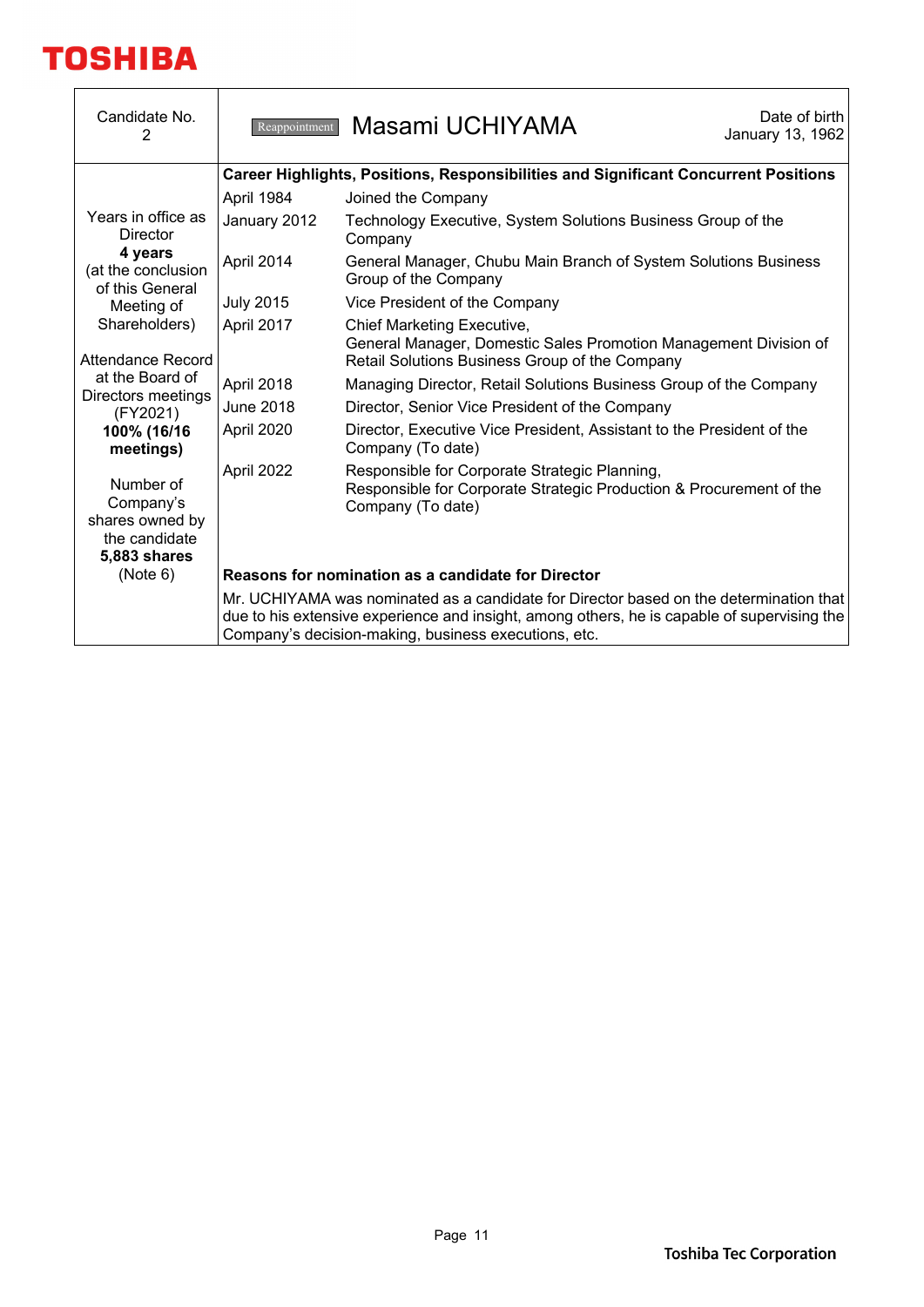

| Candidate No.<br>2                                                                | Reappointment    | Masami UCHIYAMA                                                                                                                                                                                                                               | Date of birth<br>January 13, 1962 |
|-----------------------------------------------------------------------------------|------------------|-----------------------------------------------------------------------------------------------------------------------------------------------------------------------------------------------------------------------------------------------|-----------------------------------|
|                                                                                   |                  | Career Highlights, Positions, Responsibilities and Significant Concurrent Positions                                                                                                                                                           |                                   |
|                                                                                   | April 1984       | Joined the Company                                                                                                                                                                                                                            |                                   |
| Years in office as<br>Director                                                    | January 2012     | Technology Executive, System Solutions Business Group of the<br>Company                                                                                                                                                                       |                                   |
| 4 years<br>(at the conclusion<br>of this General                                  | April 2014       | General Manager, Chubu Main Branch of System Solutions Business<br>Group of the Company                                                                                                                                                       |                                   |
| Meeting of                                                                        | <b>July 2015</b> | Vice President of the Company                                                                                                                                                                                                                 |                                   |
| Shareholders)<br>Attendance Record                                                | April 2017       | Chief Marketing Executive,<br>General Manager, Domestic Sales Promotion Management Division of<br>Retail Solutions Business Group of the Company                                                                                              |                                   |
| at the Board of                                                                   | April 2018       | Managing Director, Retail Solutions Business Group of the Company                                                                                                                                                                             |                                   |
| Directors meetings<br>(FY2021)                                                    | <b>June 2018</b> | Director, Senior Vice President of the Company                                                                                                                                                                                                |                                   |
| 100% (16/16<br>meetings)                                                          | April 2020       | Director, Executive Vice President, Assistant to the President of the<br>Company (To date)                                                                                                                                                    |                                   |
| Number of<br>Company's<br>shares owned by<br>the candidate<br><b>5,883 shares</b> | April 2022       | Responsible for Corporate Strategic Planning,<br>Responsible for Corporate Strategic Production & Procurement of the<br>Company (To date)                                                                                                     |                                   |
| (Note 6)                                                                          |                  | Reasons for nomination as a candidate for Director                                                                                                                                                                                            |                                   |
|                                                                                   |                  | Mr. UCHIYAMA was nominated as a candidate for Director based on the determination that<br>due to his extensive experience and insight, among others, he is capable of supervising the<br>Company's decision-making, business executions, etc. |                                   |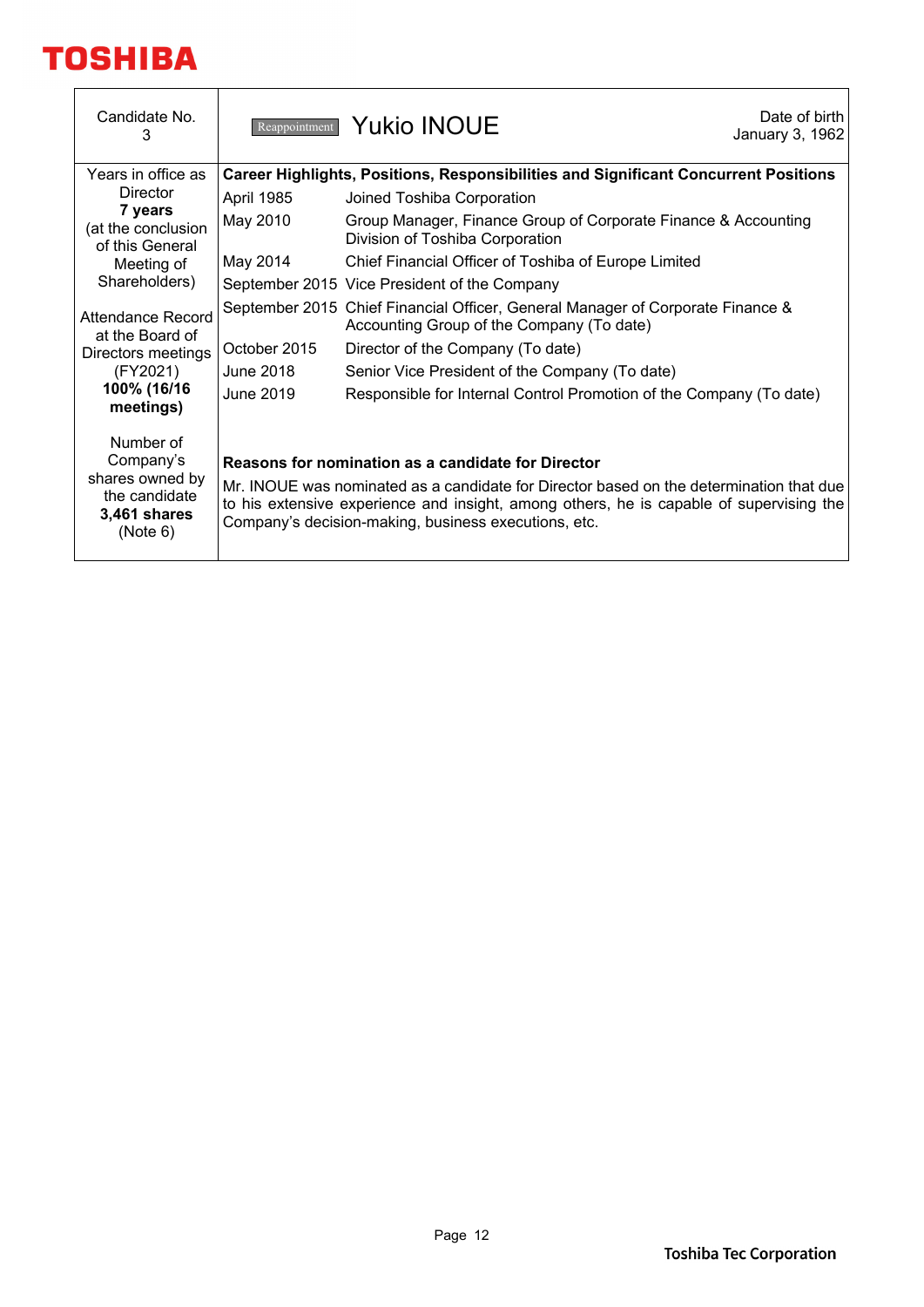

| Candidate No.<br>3                                                                     |              | Reappointment Yukio INOUE                                                                                                                                                                                                                                                                        | Date of birth<br>January 3, 1962 |
|----------------------------------------------------------------------------------------|--------------|--------------------------------------------------------------------------------------------------------------------------------------------------------------------------------------------------------------------------------------------------------------------------------------------------|----------------------------------|
| Years in office as                                                                     |              | Career Highlights, Positions, Responsibilities and Significant Concurrent Positions                                                                                                                                                                                                              |                                  |
| <b>Director</b>                                                                        | April 1985   | Joined Toshiba Corporation                                                                                                                                                                                                                                                                       |                                  |
| 7 years<br>(at the conclusion<br>of this General                                       | May 2010     | Group Manager, Finance Group of Corporate Finance & Accounting<br>Division of Toshiba Corporation                                                                                                                                                                                                |                                  |
| Meeting of                                                                             | May 2014     | Chief Financial Officer of Toshiba of Europe Limited                                                                                                                                                                                                                                             |                                  |
| Shareholders)                                                                          |              | September 2015 Vice President of the Company                                                                                                                                                                                                                                                     |                                  |
| <b>Attendance Record</b><br>at the Board of                                            |              | September 2015 Chief Financial Officer, General Manager of Corporate Finance &<br>Accounting Group of the Company (To date)                                                                                                                                                                      |                                  |
| Directors meetings                                                                     | October 2015 | Director of the Company (To date)                                                                                                                                                                                                                                                                |                                  |
| (FY2021)                                                                               | June 2018    | Senior Vice President of the Company (To date)                                                                                                                                                                                                                                                   |                                  |
| 100% (16/16<br>meetings)                                                               | June 2019    | Responsible for Internal Control Promotion of the Company (To date)                                                                                                                                                                                                                              |                                  |
| Number of<br>Company's<br>shares owned by<br>the candidate<br>3,461 shares<br>(Note 6) |              | Reasons for nomination as a candidate for Director<br>Mr. INOUE was nominated as a candidate for Director based on the determination that due<br>to his extensive experience and insight, among others, he is capable of supervising the<br>Company's decision-making, business executions, etc. |                                  |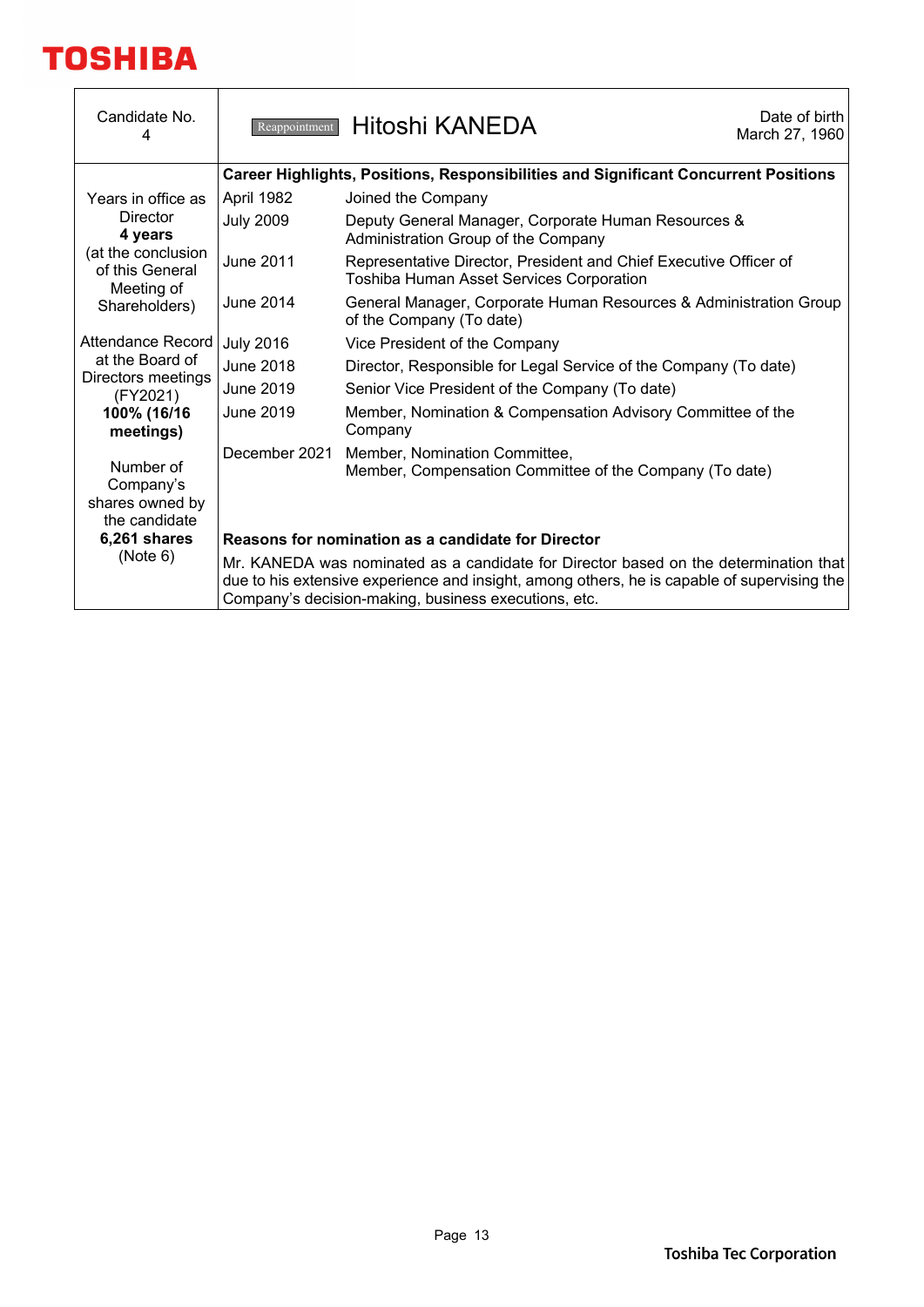

| Candidate No.                                                                 | Reappointment                                      | Hitoshi KANEDA                                                                                                                                                                                                                              | Date of birth<br>March 27, 1960 |  |
|-------------------------------------------------------------------------------|----------------------------------------------------|---------------------------------------------------------------------------------------------------------------------------------------------------------------------------------------------------------------------------------------------|---------------------------------|--|
|                                                                               |                                                    | <b>Career Highlights, Positions, Responsibilities and Significant Concurrent Positions</b>                                                                                                                                                  |                                 |  |
| Years in office as                                                            | April 1982                                         | Joined the Company                                                                                                                                                                                                                          |                                 |  |
| Director<br>4 years                                                           | <b>July 2009</b>                                   | Deputy General Manager, Corporate Human Resources &<br>Administration Group of the Company                                                                                                                                                  |                                 |  |
| (at the conclusion<br>of this General<br>Meeting of                           | June 2011                                          | Representative Director, President and Chief Executive Officer of<br><b>Toshiba Human Asset Services Corporation</b>                                                                                                                        |                                 |  |
| Shareholders)                                                                 | June 2014                                          | General Manager, Corporate Human Resources & Administration Group<br>of the Company (To date)                                                                                                                                               |                                 |  |
| Attendance Record                                                             | <b>July 2016</b>                                   | Vice President of the Company                                                                                                                                                                                                               |                                 |  |
| at the Board of<br>Directors meetings<br>(FY2021)<br>100% (16/16<br>meetings) | June 2018                                          | Director, Responsible for Legal Service of the Company (To date)                                                                                                                                                                            |                                 |  |
|                                                                               | June 2019                                          | Senior Vice President of the Company (To date)                                                                                                                                                                                              |                                 |  |
|                                                                               | June 2019                                          | Member, Nomination & Compensation Advisory Committee of the<br>Company                                                                                                                                                                      |                                 |  |
| Number of<br>Company's<br>shares owned by<br>the candidate                    | December 2021                                      | Member, Nomination Committee,<br>Member, Compensation Committee of the Company (To date)                                                                                                                                                    |                                 |  |
| 6,261 shares                                                                  | Reasons for nomination as a candidate for Director |                                                                                                                                                                                                                                             |                                 |  |
| (Note 6)                                                                      |                                                    | Mr. KANEDA was nominated as a candidate for Director based on the determination that<br>due to his extensive experience and insight, among others, he is capable of supervising the<br>Company's decision-making, business executions, etc. |                                 |  |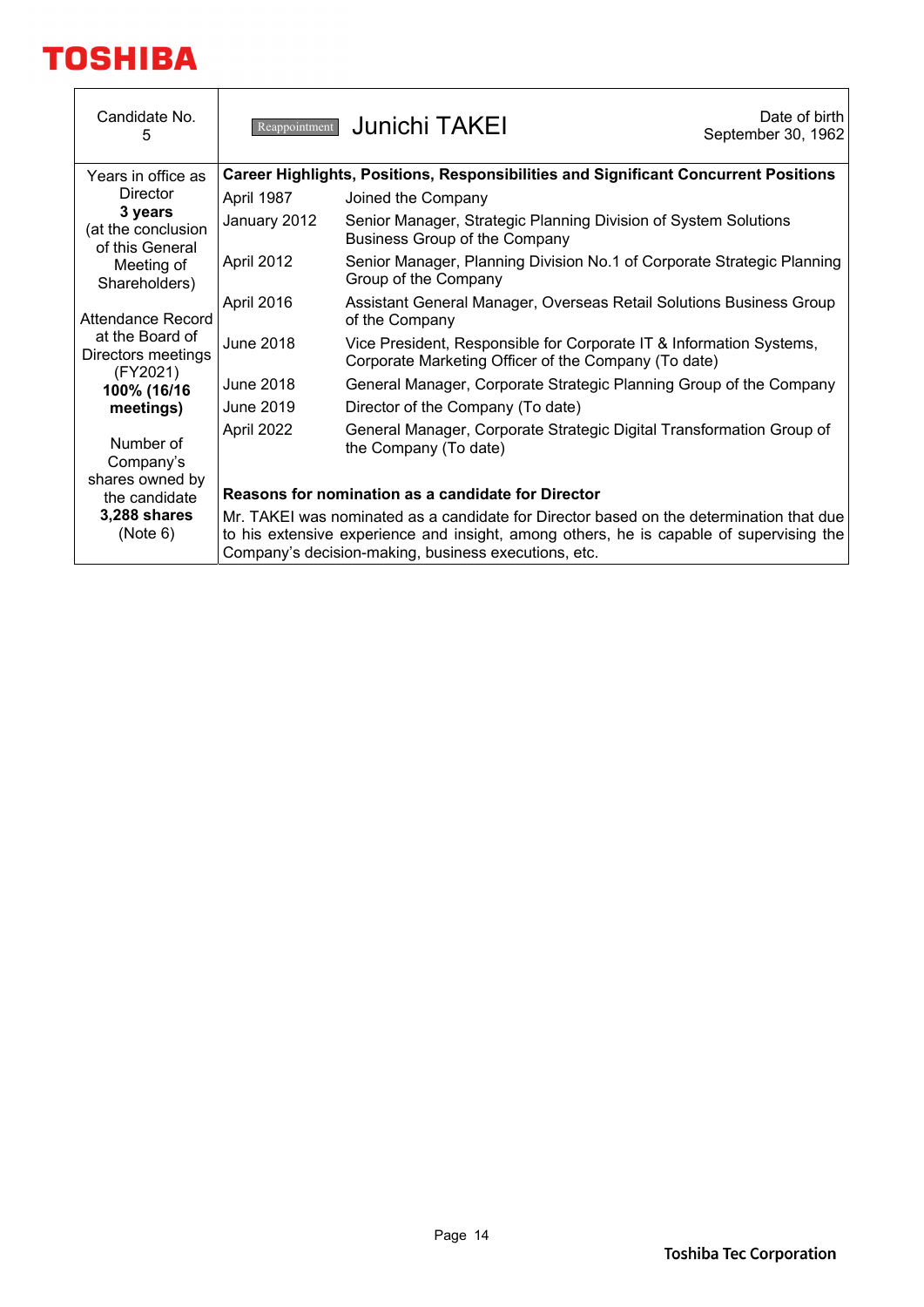

| Candidate No.<br>5                               | Reappointment                                      | <b>Junichi TAKEI</b>                                                                                                                                                                                                                       | Date of birth<br>September 30, 1962 |  |  |  |  |
|--------------------------------------------------|----------------------------------------------------|--------------------------------------------------------------------------------------------------------------------------------------------------------------------------------------------------------------------------------------------|-------------------------------------|--|--|--|--|
| Years in office as                               |                                                    | <b>Career Highlights, Positions, Responsibilities and Significant Concurrent Positions</b>                                                                                                                                                 |                                     |  |  |  |  |
| Director                                         | April 1987                                         | Joined the Company                                                                                                                                                                                                                         |                                     |  |  |  |  |
| 3 years<br>(at the conclusion<br>of this General | January 2012                                       | Senior Manager, Strategic Planning Division of System Solutions<br>Business Group of the Company                                                                                                                                           |                                     |  |  |  |  |
| Meeting of<br>Shareholders)                      | April 2012                                         | Senior Manager, Planning Division No.1 of Corporate Strategic Planning<br>Group of the Company                                                                                                                                             |                                     |  |  |  |  |
| Attendance Record                                | April 2016                                         | Assistant General Manager, Overseas Retail Solutions Business Group<br>of the Company                                                                                                                                                      |                                     |  |  |  |  |
| at the Board of<br>Directors meetings            | <b>June 2018</b>                                   | Vice President, Responsible for Corporate IT & Information Systems,<br>Corporate Marketing Officer of the Company (To date)                                                                                                                |                                     |  |  |  |  |
| (FY2021)<br>100% (16/16                          | <b>June 2018</b>                                   | General Manager, Corporate Strategic Planning Group of the Company                                                                                                                                                                         |                                     |  |  |  |  |
| meetings)                                        | June 2019                                          | Director of the Company (To date)                                                                                                                                                                                                          |                                     |  |  |  |  |
| Number of<br>Company's<br>shares owned by        | April 2022                                         | General Manager, Corporate Strategic Digital Transformation Group of<br>the Company (To date)                                                                                                                                              |                                     |  |  |  |  |
| the candidate                                    | Reasons for nomination as a candidate for Director |                                                                                                                                                                                                                                            |                                     |  |  |  |  |
| 3,288 shares<br>(Note 6)                         |                                                    | Mr. TAKEI was nominated as a candidate for Director based on the determination that due<br>to his extensive experience and insight, among others, he is capable of supervising the<br>Company's decision-making, business executions, etc. |                                     |  |  |  |  |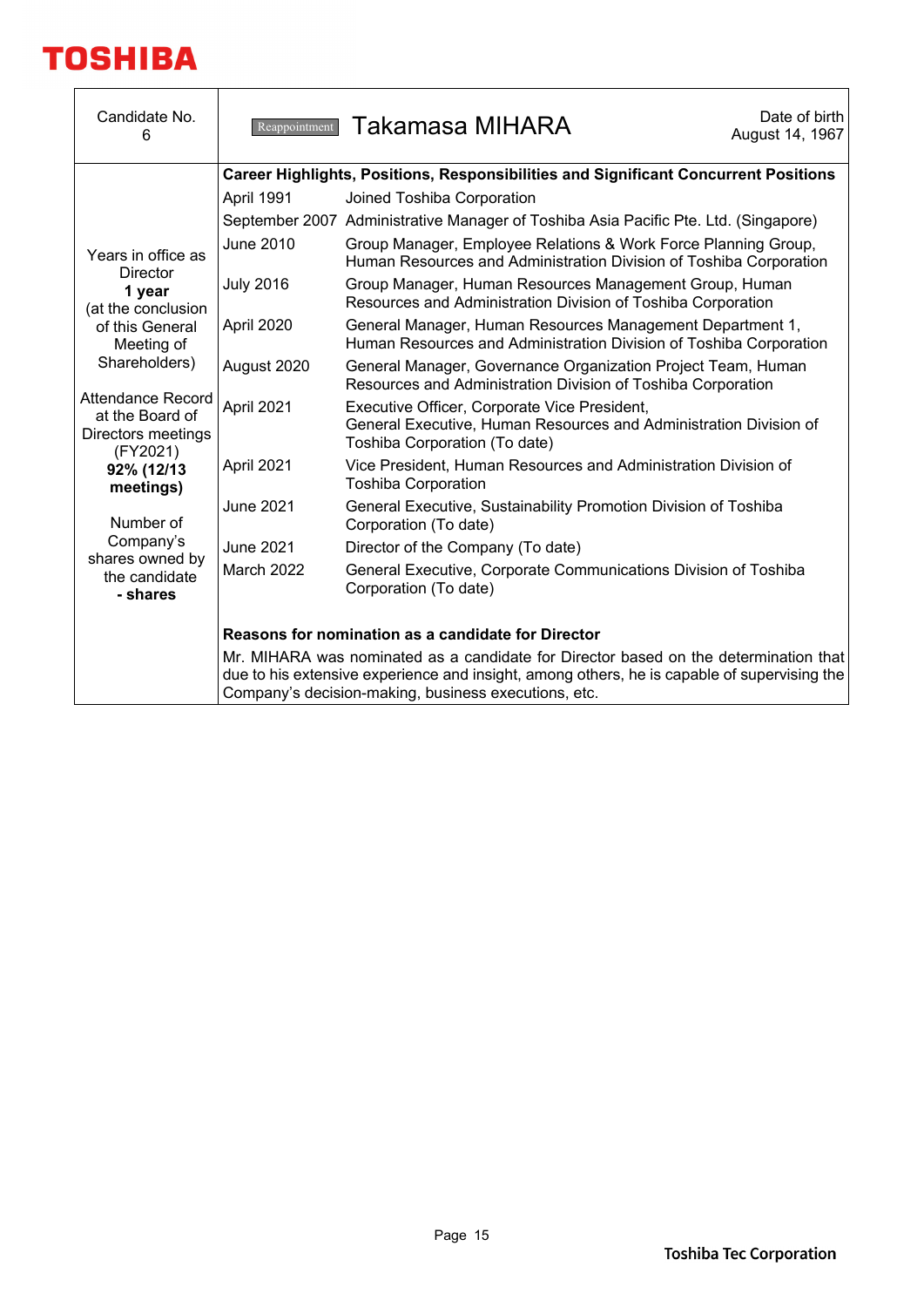

 $\mathbf{r}$ 

| Candidate No.<br>6                                                                                           | Reappointment                                      | Date of birth<br>August 14, 1967                                                                                                                                                                                                            |  |  |  |  |  |  |
|--------------------------------------------------------------------------------------------------------------|----------------------------------------------------|---------------------------------------------------------------------------------------------------------------------------------------------------------------------------------------------------------------------------------------------|--|--|--|--|--|--|
|                                                                                                              |                                                    | Career Highlights, Positions, Responsibilities and Significant Concurrent Positions                                                                                                                                                         |  |  |  |  |  |  |
|                                                                                                              | April 1991                                         | Joined Toshiba Corporation                                                                                                                                                                                                                  |  |  |  |  |  |  |
|                                                                                                              |                                                    | September 2007 Administrative Manager of Toshiba Asia Pacific Pte. Ltd. (Singapore)<br>Group Manager, Employee Relations & Work Force Planning Group,<br>Human Resources and Administration Division of Toshiba Corporation                 |  |  |  |  |  |  |
| Years in office as<br><b>Director</b>                                                                        | June 2010                                          |                                                                                                                                                                                                                                             |  |  |  |  |  |  |
| 1 year<br>(at the conclusion                                                                                 | <b>July 2016</b>                                   | Group Manager, Human Resources Management Group, Human<br>Resources and Administration Division of Toshiba Corporation                                                                                                                      |  |  |  |  |  |  |
| of this General<br>Meeting of<br>Shareholders)<br>Attendance Record<br>at the Board of<br>Directors meetings | April 2020                                         | General Manager, Human Resources Management Department 1,<br>Human Resources and Administration Division of Toshiba Corporation                                                                                                             |  |  |  |  |  |  |
|                                                                                                              | August 2020                                        | General Manager, Governance Organization Project Team, Human<br>Resources and Administration Division of Toshiba Corporation                                                                                                                |  |  |  |  |  |  |
|                                                                                                              | April 2021                                         | Executive Officer, Corporate Vice President,<br>General Executive, Human Resources and Administration Division of<br>Toshiba Corporation (To date)                                                                                          |  |  |  |  |  |  |
| (FY2021)<br>92% (12/13<br>meetings)                                                                          | April 2021                                         | Vice President, Human Resources and Administration Division of<br><b>Toshiba Corporation</b>                                                                                                                                                |  |  |  |  |  |  |
| Number of                                                                                                    | June 2021                                          | General Executive, Sustainability Promotion Division of Toshiba<br>Corporation (To date)                                                                                                                                                    |  |  |  |  |  |  |
| Company's<br>shares owned by                                                                                 | June 2021                                          | Director of the Company (To date)                                                                                                                                                                                                           |  |  |  |  |  |  |
| the candidate<br>- shares                                                                                    | <b>March 2022</b>                                  | General Executive, Corporate Communications Division of Toshiba<br>Corporation (To date)                                                                                                                                                    |  |  |  |  |  |  |
|                                                                                                              | Reasons for nomination as a candidate for Director |                                                                                                                                                                                                                                             |  |  |  |  |  |  |
|                                                                                                              |                                                    | Mr. MIHARA was nominated as a candidate for Director based on the determination that<br>due to his extensive experience and insight, among others, he is capable of supervising the<br>Company's decision-making, business executions, etc. |  |  |  |  |  |  |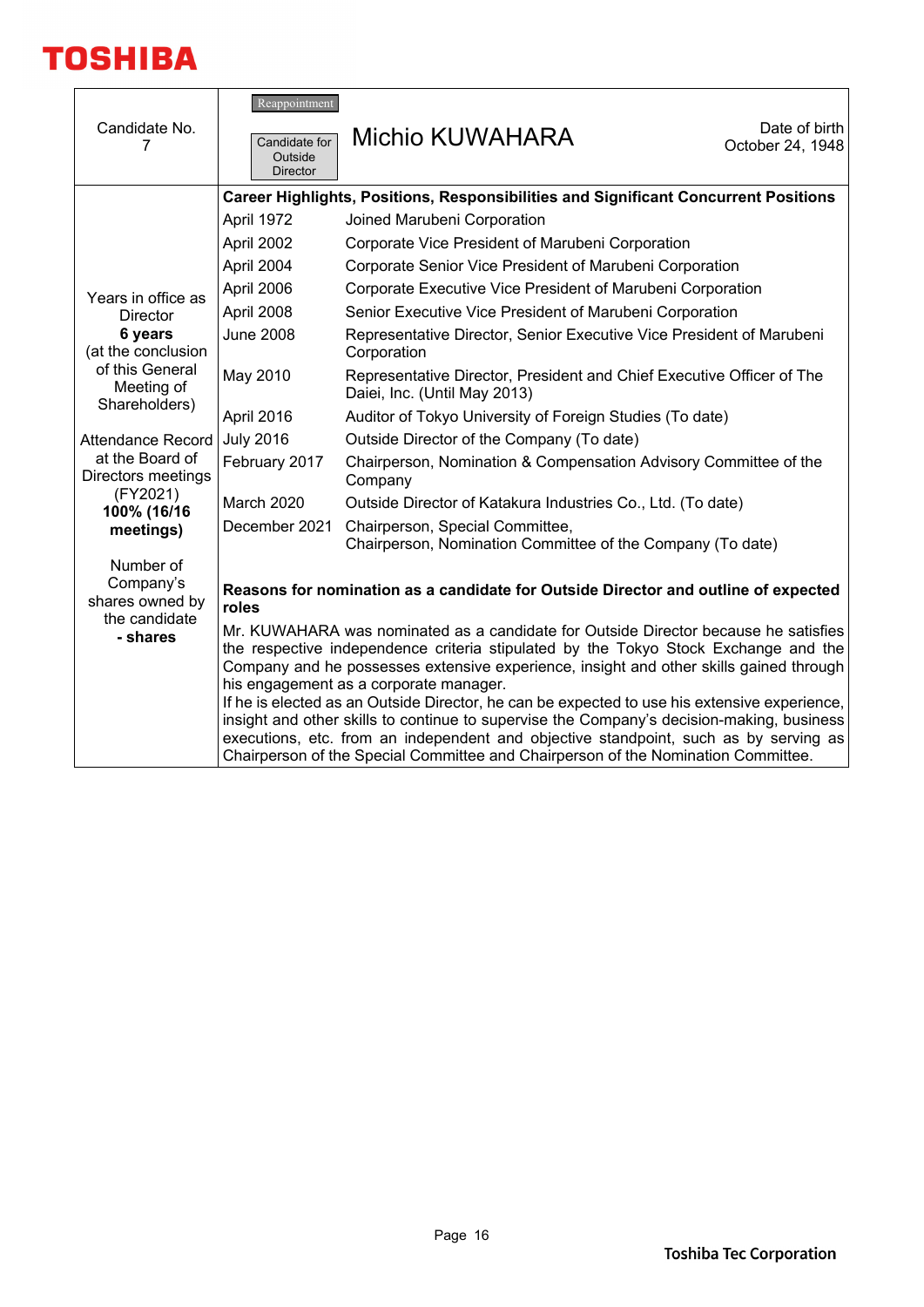

| Candidate No.<br>7                            | Reappointment<br>Candidate for<br>Outside<br><b>Director</b>                                | Date of birth<br>October 24, 1948                                                                                                                                                                                                                                                                                                                                                                                                                                                                                                                                                                                                                                                        |  |  |  |  |  |  |
|-----------------------------------------------|---------------------------------------------------------------------------------------------|------------------------------------------------------------------------------------------------------------------------------------------------------------------------------------------------------------------------------------------------------------------------------------------------------------------------------------------------------------------------------------------------------------------------------------------------------------------------------------------------------------------------------------------------------------------------------------------------------------------------------------------------------------------------------------------|--|--|--|--|--|--|
|                                               |                                                                                             | Career Highlights, Positions, Responsibilities and Significant Concurrent Positions                                                                                                                                                                                                                                                                                                                                                                                                                                                                                                                                                                                                      |  |  |  |  |  |  |
|                                               | April 1972                                                                                  | Joined Marubeni Corporation                                                                                                                                                                                                                                                                                                                                                                                                                                                                                                                                                                                                                                                              |  |  |  |  |  |  |
|                                               | April 2002                                                                                  | Corporate Vice President of Marubeni Corporation                                                                                                                                                                                                                                                                                                                                                                                                                                                                                                                                                                                                                                         |  |  |  |  |  |  |
|                                               | April 2004                                                                                  | Corporate Senior Vice President of Marubeni Corporation                                                                                                                                                                                                                                                                                                                                                                                                                                                                                                                                                                                                                                  |  |  |  |  |  |  |
| Years in office as                            | April 2006                                                                                  | Corporate Executive Vice President of Marubeni Corporation                                                                                                                                                                                                                                                                                                                                                                                                                                                                                                                                                                                                                               |  |  |  |  |  |  |
| <b>Director</b>                               | April 2008                                                                                  | Senior Executive Vice President of Marubeni Corporation                                                                                                                                                                                                                                                                                                                                                                                                                                                                                                                                                                                                                                  |  |  |  |  |  |  |
| 6 years<br>(at the conclusion                 | <b>June 2008</b>                                                                            | Representative Director, Senior Executive Vice President of Marubeni<br>Corporation                                                                                                                                                                                                                                                                                                                                                                                                                                                                                                                                                                                                      |  |  |  |  |  |  |
| of this General<br>Meeting of                 | May 2010                                                                                    | Representative Director, President and Chief Executive Officer of The<br>Daiei, Inc. (Until May 2013)                                                                                                                                                                                                                                                                                                                                                                                                                                                                                                                                                                                    |  |  |  |  |  |  |
| Shareholders)                                 | April 2016                                                                                  | Auditor of Tokyo University of Foreign Studies (To date)                                                                                                                                                                                                                                                                                                                                                                                                                                                                                                                                                                                                                                 |  |  |  |  |  |  |
| <b>Attendance Record</b>                      | <b>July 2016</b>                                                                            | Outside Director of the Company (To date)                                                                                                                                                                                                                                                                                                                                                                                                                                                                                                                                                                                                                                                |  |  |  |  |  |  |
| at the Board of<br>Directors meetings         | February 2017                                                                               | Chairperson, Nomination & Compensation Advisory Committee of the<br>Company                                                                                                                                                                                                                                                                                                                                                                                                                                                                                                                                                                                                              |  |  |  |  |  |  |
| (FY2021)<br>100% (16/16                       | March 2020                                                                                  | Outside Director of Katakura Industries Co., Ltd. (To date)                                                                                                                                                                                                                                                                                                                                                                                                                                                                                                                                                                                                                              |  |  |  |  |  |  |
| meetings)                                     | December 2021                                                                               | Chairperson, Special Committee,<br>Chairperson, Nomination Committee of the Company (To date)                                                                                                                                                                                                                                                                                                                                                                                                                                                                                                                                                                                            |  |  |  |  |  |  |
| Number of                                     |                                                                                             |                                                                                                                                                                                                                                                                                                                                                                                                                                                                                                                                                                                                                                                                                          |  |  |  |  |  |  |
| Company's<br>shares owned by<br>the candidate | Reasons for nomination as a candidate for Outside Director and outline of expected<br>roles |                                                                                                                                                                                                                                                                                                                                                                                                                                                                                                                                                                                                                                                                                          |  |  |  |  |  |  |
| - shares                                      |                                                                                             | Mr. KUWAHARA was nominated as a candidate for Outside Director because he satisfies<br>the respective independence criteria stipulated by the Tokyo Stock Exchange and the<br>Company and he possesses extensive experience, insight and other skills gained through<br>his engagement as a corporate manager.<br>If he is elected as an Outside Director, he can be expected to use his extensive experience,<br>insight and other skills to continue to supervise the Company's decision-making, business<br>executions, etc. from an independent and objective standpoint, such as by serving as<br>Chairperson of the Special Committee and Chairperson of the Nomination Committee. |  |  |  |  |  |  |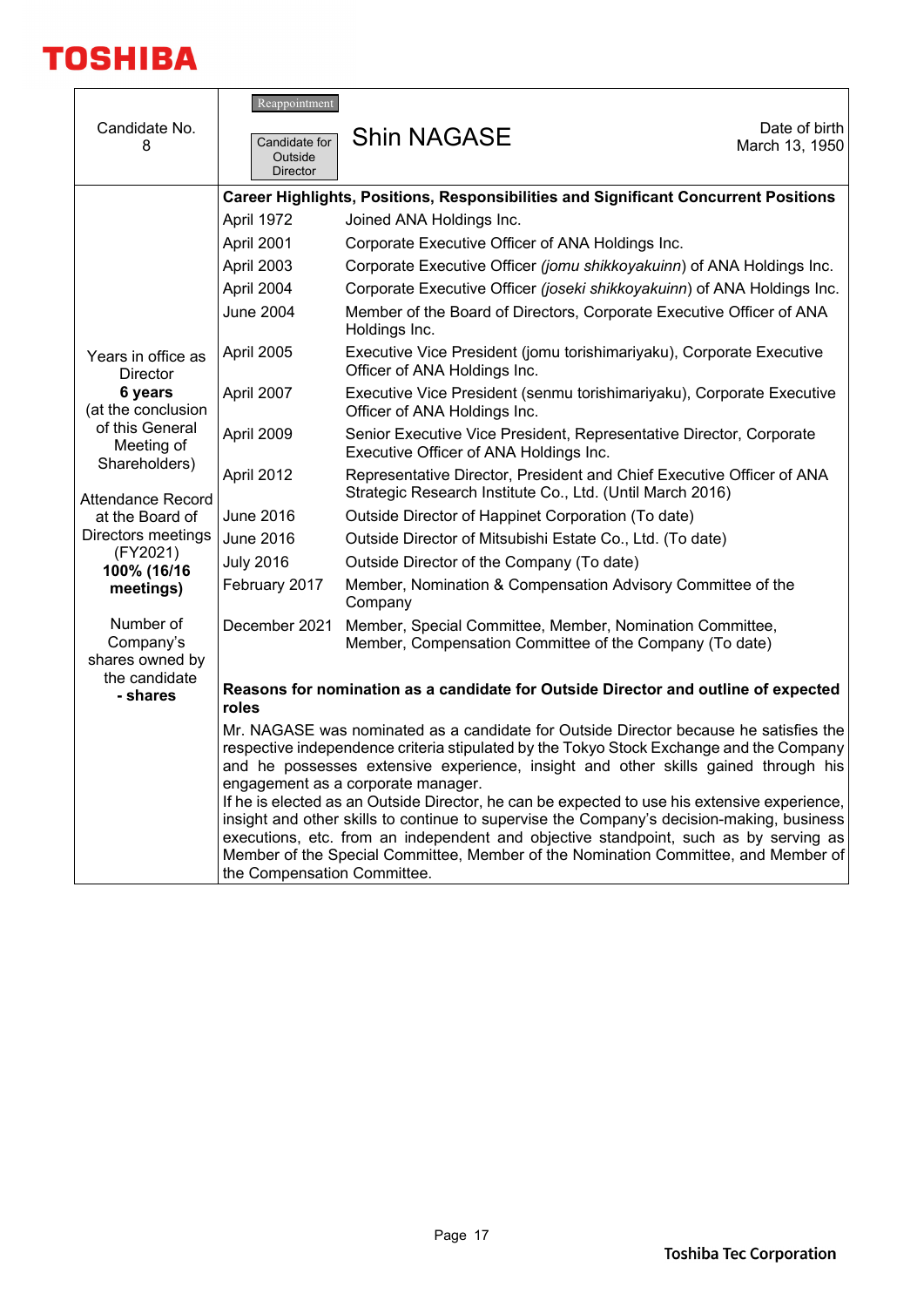

 $\mathbf{r}$ 

| Candidate No.<br>8                        | Reappointment<br>Candidate for<br>Outside<br><b>Director</b> | <b>Shin NAGASE</b>                                                                                                                                                                                                                                                                                                                                                                                                                                                                                                                                                                                                                                                                      | Date of birth<br>March 13, 1950 |  |  |  |  |  |
|-------------------------------------------|--------------------------------------------------------------|-----------------------------------------------------------------------------------------------------------------------------------------------------------------------------------------------------------------------------------------------------------------------------------------------------------------------------------------------------------------------------------------------------------------------------------------------------------------------------------------------------------------------------------------------------------------------------------------------------------------------------------------------------------------------------------------|---------------------------------|--|--|--|--|--|
|                                           |                                                              | Career Highlights, Positions, Responsibilities and Significant Concurrent Positions                                                                                                                                                                                                                                                                                                                                                                                                                                                                                                                                                                                                     |                                 |  |  |  |  |  |
|                                           | April 1972                                                   | Joined ANA Holdings Inc.                                                                                                                                                                                                                                                                                                                                                                                                                                                                                                                                                                                                                                                                |                                 |  |  |  |  |  |
|                                           | April 2001                                                   | Corporate Executive Officer of ANA Holdings Inc.                                                                                                                                                                                                                                                                                                                                                                                                                                                                                                                                                                                                                                        |                                 |  |  |  |  |  |
|                                           | April 2003                                                   | Corporate Executive Officer (jomu shikkoyakuinn) of ANA Holdings Inc.                                                                                                                                                                                                                                                                                                                                                                                                                                                                                                                                                                                                                   |                                 |  |  |  |  |  |
|                                           | April 2004                                                   | Corporate Executive Officer (joseki shikkoyakuinn) of ANA Holdings Inc.                                                                                                                                                                                                                                                                                                                                                                                                                                                                                                                                                                                                                 |                                 |  |  |  |  |  |
|                                           | <b>June 2004</b>                                             | Member of the Board of Directors, Corporate Executive Officer of ANA<br>Holdings Inc.                                                                                                                                                                                                                                                                                                                                                                                                                                                                                                                                                                                                   |                                 |  |  |  |  |  |
| Years in office as<br>Director            | April 2005                                                   | Executive Vice President (jomu torishimariyaku), Corporate Executive<br>Officer of ANA Holdings Inc.                                                                                                                                                                                                                                                                                                                                                                                                                                                                                                                                                                                    |                                 |  |  |  |  |  |
| 6 years<br>(at the conclusion             | April 2007                                                   | Executive Vice President (senmu torishimariyaku), Corporate Executive<br>Officer of ANA Holdings Inc.                                                                                                                                                                                                                                                                                                                                                                                                                                                                                                                                                                                   |                                 |  |  |  |  |  |
| of this General<br>Meeting of             | April 2009                                                   | Senior Executive Vice President, Representative Director, Corporate<br>Executive Officer of ANA Holdings Inc.                                                                                                                                                                                                                                                                                                                                                                                                                                                                                                                                                                           |                                 |  |  |  |  |  |
| Shareholders)<br><b>Attendance Record</b> | April 2012                                                   | Representative Director, President and Chief Executive Officer of ANA<br>Strategic Research Institute Co., Ltd. (Until March 2016)                                                                                                                                                                                                                                                                                                                                                                                                                                                                                                                                                      |                                 |  |  |  |  |  |
| at the Board of                           | June 2016                                                    | Outside Director of Happinet Corporation (To date)                                                                                                                                                                                                                                                                                                                                                                                                                                                                                                                                                                                                                                      |                                 |  |  |  |  |  |
| Directors meetings                        | <b>June 2016</b>                                             | Outside Director of Mitsubishi Estate Co., Ltd. (To date)                                                                                                                                                                                                                                                                                                                                                                                                                                                                                                                                                                                                                               |                                 |  |  |  |  |  |
| (FY2021)<br>100% (16/16                   | <b>July 2016</b>                                             | Outside Director of the Company (To date)                                                                                                                                                                                                                                                                                                                                                                                                                                                                                                                                                                                                                                               |                                 |  |  |  |  |  |
| meetings)                                 | February 2017                                                | Member, Nomination & Compensation Advisory Committee of the<br>Company                                                                                                                                                                                                                                                                                                                                                                                                                                                                                                                                                                                                                  |                                 |  |  |  |  |  |
| Number of<br>Company's<br>shares owned by | December 2021                                                | Member, Special Committee, Member, Nomination Committee,<br>Member, Compensation Committee of the Company (To date)                                                                                                                                                                                                                                                                                                                                                                                                                                                                                                                                                                     |                                 |  |  |  |  |  |
| the candidate<br>- shares                 | roles                                                        | Reasons for nomination as a candidate for Outside Director and outline of expected                                                                                                                                                                                                                                                                                                                                                                                                                                                                                                                                                                                                      |                                 |  |  |  |  |  |
|                                           | the Compensation Committee.                                  | Mr. NAGASE was nominated as a candidate for Outside Director because he satisfies the<br>respective independence criteria stipulated by the Tokyo Stock Exchange and the Company<br>and he possesses extensive experience, insight and other skills gained through his<br>engagement as a corporate manager.<br>If he is elected as an Outside Director, he can be expected to use his extensive experience,<br>insight and other skills to continue to supervise the Company's decision-making, business<br>executions, etc. from an independent and objective standpoint, such as by serving as<br>Member of the Special Committee, Member of the Nomination Committee, and Member of |                                 |  |  |  |  |  |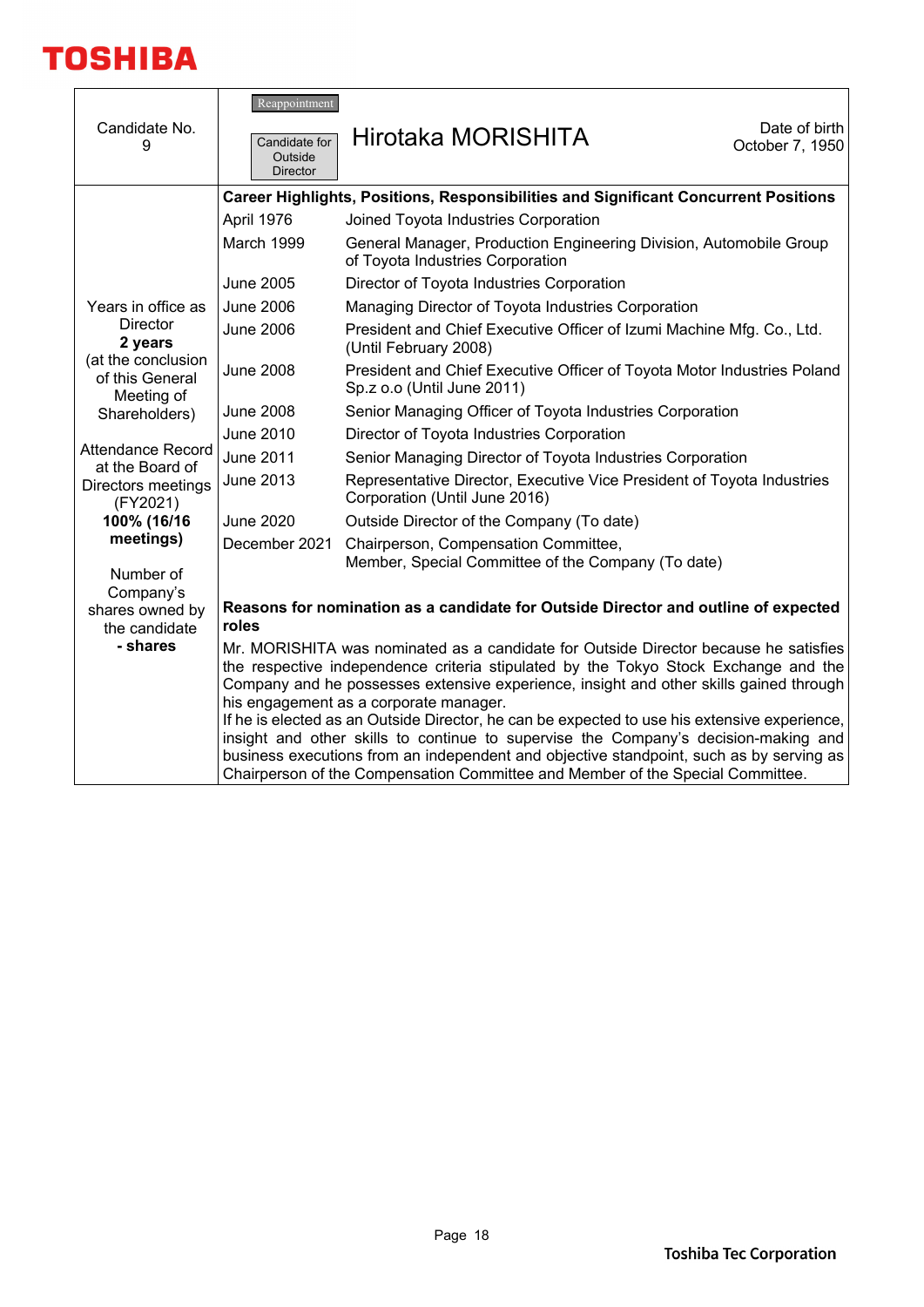

| Candidate No.<br>9                                  | Reappointment<br>Candidate for<br>Outside<br><b>Director</b>                                | Hirotaka MORISHITA                                                                                                                                                                                                                                                                                                                                                                                                                                                                                                                                                                                                                                                                  | Date of birth<br>October 7, 1950 |  |  |  |  |
|-----------------------------------------------------|---------------------------------------------------------------------------------------------|-------------------------------------------------------------------------------------------------------------------------------------------------------------------------------------------------------------------------------------------------------------------------------------------------------------------------------------------------------------------------------------------------------------------------------------------------------------------------------------------------------------------------------------------------------------------------------------------------------------------------------------------------------------------------------------|----------------------------------|--|--|--|--|
|                                                     |                                                                                             | <b>Career Highlights, Positions, Responsibilities and Significant Concurrent Positions</b>                                                                                                                                                                                                                                                                                                                                                                                                                                                                                                                                                                                          |                                  |  |  |  |  |
|                                                     | April 1976                                                                                  | Joined Toyota Industries Corporation                                                                                                                                                                                                                                                                                                                                                                                                                                                                                                                                                                                                                                                |                                  |  |  |  |  |
|                                                     | March 1999                                                                                  | General Manager, Production Engineering Division, Automobile Group<br>of Toyota Industries Corporation                                                                                                                                                                                                                                                                                                                                                                                                                                                                                                                                                                              |                                  |  |  |  |  |
|                                                     | <b>June 2005</b>                                                                            | Director of Toyota Industries Corporation                                                                                                                                                                                                                                                                                                                                                                                                                                                                                                                                                                                                                                           |                                  |  |  |  |  |
| Years in office as                                  | <b>June 2006</b>                                                                            | Managing Director of Toyota Industries Corporation                                                                                                                                                                                                                                                                                                                                                                                                                                                                                                                                                                                                                                  |                                  |  |  |  |  |
| <b>Director</b><br>2 years                          | <b>June 2006</b>                                                                            | President and Chief Executive Officer of Izumi Machine Mfg. Co., Ltd.<br>(Until February 2008)                                                                                                                                                                                                                                                                                                                                                                                                                                                                                                                                                                                      |                                  |  |  |  |  |
| (at the conclusion<br>of this General<br>Meeting of | <b>June 2008</b>                                                                            | President and Chief Executive Officer of Toyota Motor Industries Poland<br>Sp.z o.o (Until June 2011)                                                                                                                                                                                                                                                                                                                                                                                                                                                                                                                                                                               |                                  |  |  |  |  |
| Shareholders)                                       | <b>June 2008</b>                                                                            | Senior Managing Officer of Toyota Industries Corporation                                                                                                                                                                                                                                                                                                                                                                                                                                                                                                                                                                                                                            |                                  |  |  |  |  |
| <b>Attendance Record</b><br>at the Board of         | <b>June 2010</b>                                                                            | Director of Toyota Industries Corporation                                                                                                                                                                                                                                                                                                                                                                                                                                                                                                                                                                                                                                           |                                  |  |  |  |  |
|                                                     | <b>June 2011</b>                                                                            | Senior Managing Director of Toyota Industries Corporation                                                                                                                                                                                                                                                                                                                                                                                                                                                                                                                                                                                                                           |                                  |  |  |  |  |
| Directors meetings<br>(FY2021)                      | <b>June 2013</b>                                                                            | Representative Director, Executive Vice President of Toyota Industries<br>Corporation (Until June 2016)                                                                                                                                                                                                                                                                                                                                                                                                                                                                                                                                                                             |                                  |  |  |  |  |
| 100% (16/16                                         | <b>June 2020</b>                                                                            | Outside Director of the Company (To date)                                                                                                                                                                                                                                                                                                                                                                                                                                                                                                                                                                                                                                           |                                  |  |  |  |  |
| meetings)                                           | December 2021                                                                               | Chairperson, Compensation Committee,                                                                                                                                                                                                                                                                                                                                                                                                                                                                                                                                                                                                                                                |                                  |  |  |  |  |
| Number of<br>Company's                              |                                                                                             | Member, Special Committee of the Company (To date)                                                                                                                                                                                                                                                                                                                                                                                                                                                                                                                                                                                                                                  |                                  |  |  |  |  |
| shares owned by<br>the candidate                    | Reasons for nomination as a candidate for Outside Director and outline of expected<br>roles |                                                                                                                                                                                                                                                                                                                                                                                                                                                                                                                                                                                                                                                                                     |                                  |  |  |  |  |
| - shares                                            |                                                                                             | Mr. MORISHITA was nominated as a candidate for Outside Director because he satisfies<br>the respective independence criteria stipulated by the Tokyo Stock Exchange and the<br>Company and he possesses extensive experience, insight and other skills gained through<br>his engagement as a corporate manager.<br>If he is elected as an Outside Director, he can be expected to use his extensive experience,<br>insight and other skills to continue to supervise the Company's decision-making and<br>business executions from an independent and objective standpoint, such as by serving as<br>Chairperson of the Compensation Committee and Member of the Special Committee. |                                  |  |  |  |  |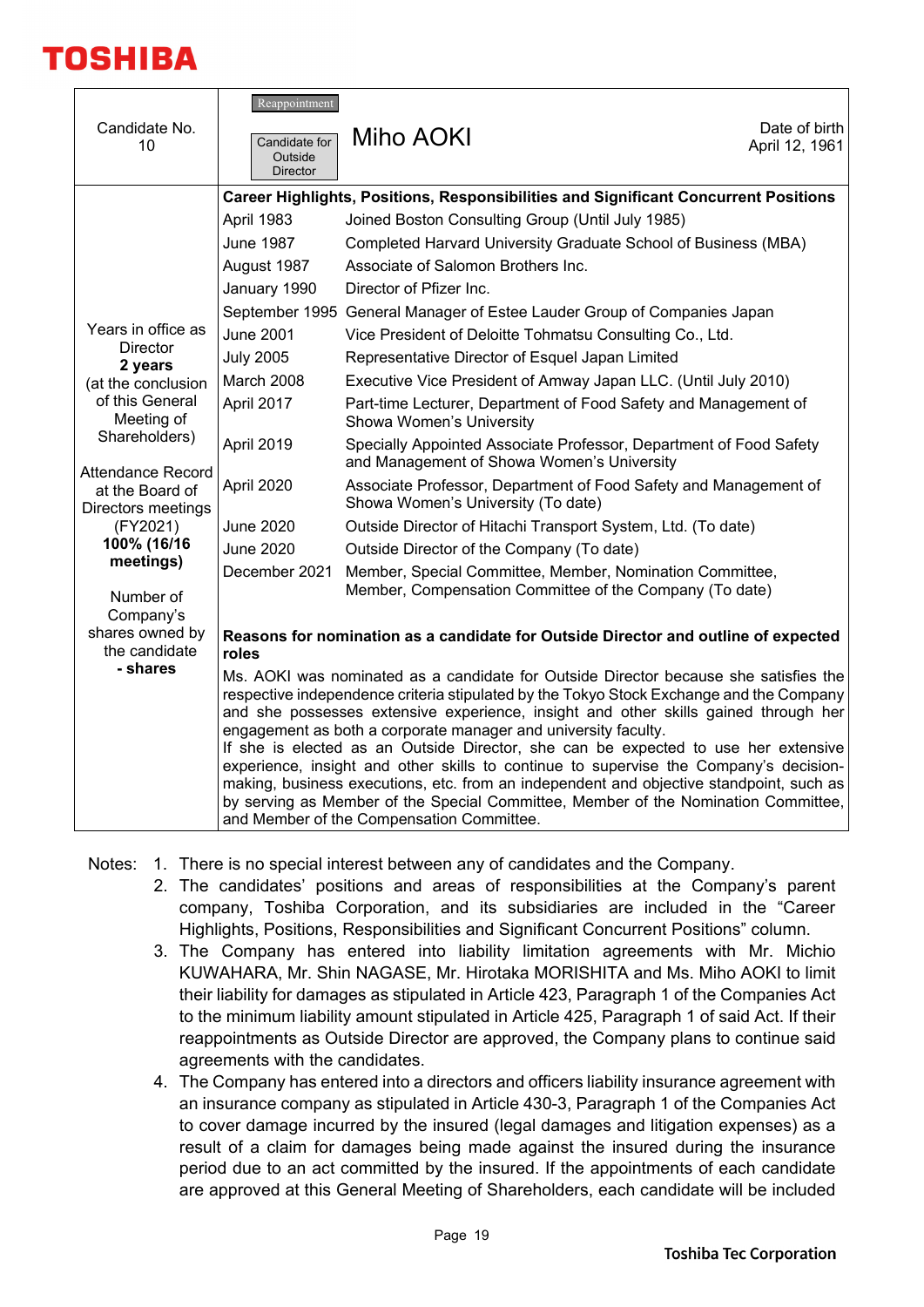

| Candidate No.<br>10                                               | Reappointment<br>Candidate for<br>Outside<br><b>Director</b>                                | Miho AOKI                                                                                                                                                                                                                                                                                                                                                                                                                                                                                                                                                                                                                                                                                                                                             | Date of birth<br>April 12, 1961 |  |  |  |  |
|-------------------------------------------------------------------|---------------------------------------------------------------------------------------------|-------------------------------------------------------------------------------------------------------------------------------------------------------------------------------------------------------------------------------------------------------------------------------------------------------------------------------------------------------------------------------------------------------------------------------------------------------------------------------------------------------------------------------------------------------------------------------------------------------------------------------------------------------------------------------------------------------------------------------------------------------|---------------------------------|--|--|--|--|
|                                                                   | Career Highlights, Positions, Responsibilities and Significant Concurrent Positions         |                                                                                                                                                                                                                                                                                                                                                                                                                                                                                                                                                                                                                                                                                                                                                       |                                 |  |  |  |  |
|                                                                   | April 1983                                                                                  | Joined Boston Consulting Group (Until July 1985)<br>Completed Harvard University Graduate School of Business (MBA)                                                                                                                                                                                                                                                                                                                                                                                                                                                                                                                                                                                                                                    |                                 |  |  |  |  |
|                                                                   | <b>June 1987</b>                                                                            |                                                                                                                                                                                                                                                                                                                                                                                                                                                                                                                                                                                                                                                                                                                                                       |                                 |  |  |  |  |
|                                                                   | August 1987                                                                                 | Associate of Salomon Brothers Inc.                                                                                                                                                                                                                                                                                                                                                                                                                                                                                                                                                                                                                                                                                                                    |                                 |  |  |  |  |
|                                                                   | January 1990                                                                                | Director of Pfizer Inc.                                                                                                                                                                                                                                                                                                                                                                                                                                                                                                                                                                                                                                                                                                                               |                                 |  |  |  |  |
|                                                                   |                                                                                             | September 1995 General Manager of Estee Lauder Group of Companies Japan                                                                                                                                                                                                                                                                                                                                                                                                                                                                                                                                                                                                                                                                               |                                 |  |  |  |  |
| Years in office as<br>Director                                    | <b>June 2001</b><br>Vice President of Deloitte Tohmatsu Consulting Co., Ltd.                |                                                                                                                                                                                                                                                                                                                                                                                                                                                                                                                                                                                                                                                                                                                                                       |                                 |  |  |  |  |
| 2 years                                                           | <b>July 2005</b>                                                                            | Representative Director of Esquel Japan Limited                                                                                                                                                                                                                                                                                                                                                                                                                                                                                                                                                                                                                                                                                                       |                                 |  |  |  |  |
| (at the conclusion                                                | March 2008                                                                                  | Executive Vice President of Amway Japan LLC. (Until July 2010)                                                                                                                                                                                                                                                                                                                                                                                                                                                                                                                                                                                                                                                                                        |                                 |  |  |  |  |
| of this General<br>Meeting of                                     | April 2017                                                                                  | Part-time Lecturer, Department of Food Safety and Management of<br>Showa Women's University                                                                                                                                                                                                                                                                                                                                                                                                                                                                                                                                                                                                                                                           |                                 |  |  |  |  |
| Shareholders)                                                     | April 2019                                                                                  | Specially Appointed Associate Professor, Department of Food Safety<br>and Management of Showa Women's University                                                                                                                                                                                                                                                                                                                                                                                                                                                                                                                                                                                                                                      |                                 |  |  |  |  |
| <b>Attendance Record</b><br>at the Board of<br>Directors meetings | April 2020                                                                                  | Associate Professor, Department of Food Safety and Management of<br>Showa Women's University (To date)                                                                                                                                                                                                                                                                                                                                                                                                                                                                                                                                                                                                                                                |                                 |  |  |  |  |
| (FY2021)                                                          | <b>June 2020</b>                                                                            | Outside Director of Hitachi Transport System, Ltd. (To date)                                                                                                                                                                                                                                                                                                                                                                                                                                                                                                                                                                                                                                                                                          |                                 |  |  |  |  |
| 100% (16/16                                                       | <b>June 2020</b>                                                                            | Outside Director of the Company (To date)                                                                                                                                                                                                                                                                                                                                                                                                                                                                                                                                                                                                                                                                                                             |                                 |  |  |  |  |
| meetings)                                                         | December 2021                                                                               | Member, Special Committee, Member, Nomination Committee,                                                                                                                                                                                                                                                                                                                                                                                                                                                                                                                                                                                                                                                                                              |                                 |  |  |  |  |
| Number of                                                         |                                                                                             | Member, Compensation Committee of the Company (To date)                                                                                                                                                                                                                                                                                                                                                                                                                                                                                                                                                                                                                                                                                               |                                 |  |  |  |  |
| Company's                                                         |                                                                                             |                                                                                                                                                                                                                                                                                                                                                                                                                                                                                                                                                                                                                                                                                                                                                       |                                 |  |  |  |  |
| shares owned by<br>the candidate                                  | Reasons for nomination as a candidate for Outside Director and outline of expected<br>roles |                                                                                                                                                                                                                                                                                                                                                                                                                                                                                                                                                                                                                                                                                                                                                       |                                 |  |  |  |  |
| - shares                                                          |                                                                                             | Ms. AOKI was nominated as a candidate for Outside Director because she satisfies the<br>respective independence criteria stipulated by the Tokyo Stock Exchange and the Company<br>and she possesses extensive experience, insight and other skills gained through her<br>engagement as both a corporate manager and university faculty.<br>If she is elected as an Outside Director, she can be expected to use her extensive<br>experience, insight and other skills to continue to supervise the Company's decision-<br>making, business executions, etc. from an independent and objective standpoint, such as<br>by serving as Member of the Special Committee, Member of the Nomination Committee,<br>and Member of the Compensation Committee. |                                 |  |  |  |  |

Notes: 1. There is no special interest between any of candidates and the Company.

- 2. The candidates' positions and areas of responsibilities at the Company's parent company, Toshiba Corporation, and its subsidiaries are included in the "Career Highlights, Positions, Responsibilities and Significant Concurrent Positions" column.
- 3. The Company has entered into liability limitation agreements with Mr. Michio KUWAHARA, Mr. Shin NAGASE, Mr. Hirotaka MORISHITA and Ms. Miho AOKI to limit their liability for damages as stipulated in Article 423, Paragraph 1 of the Companies Act to the minimum liability amount stipulated in Article 425, Paragraph 1 of said Act. If their reappointments as Outside Director are approved, the Company plans to continue said agreements with the candidates.
- 4. The Company has entered into a directors and officers liability insurance agreement with an insurance company as stipulated in Article 430-3, Paragraph 1 of the Companies Act to cover damage incurred by the insured (legal damages and litigation expenses) as a result of a claim for damages being made against the insured during the insurance period due to an act committed by the insured. If the appointments of each candidate are approved at this General Meeting of Shareholders, each candidate will be included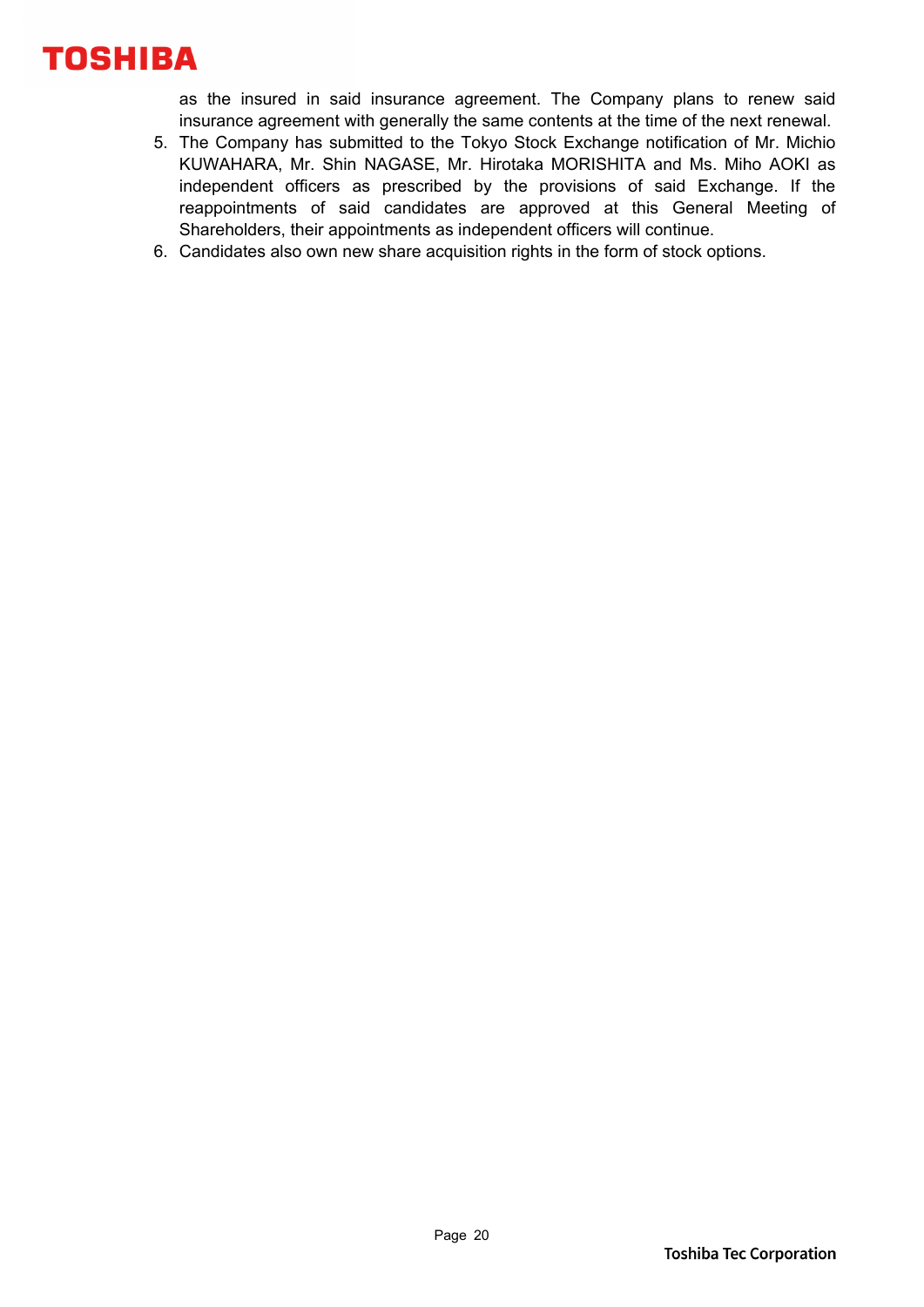as the insured in said insurance agreement. The Company plans to renew said insurance agreement with generally the same contents at the time of the next renewal.

- 5. The Company has submitted to the Tokyo Stock Exchange notification of Mr. Michio KUWAHARA, Mr. Shin NAGASE, Mr. Hirotaka MORISHITA and Ms. Miho AOKI as independent officers as prescribed by the provisions of said Exchange. If the reappointments of said candidates are approved at this General Meeting of Shareholders, their appointments as independent officers will continue.
- 6. Candidates also own new share acquisition rights in the form of stock options.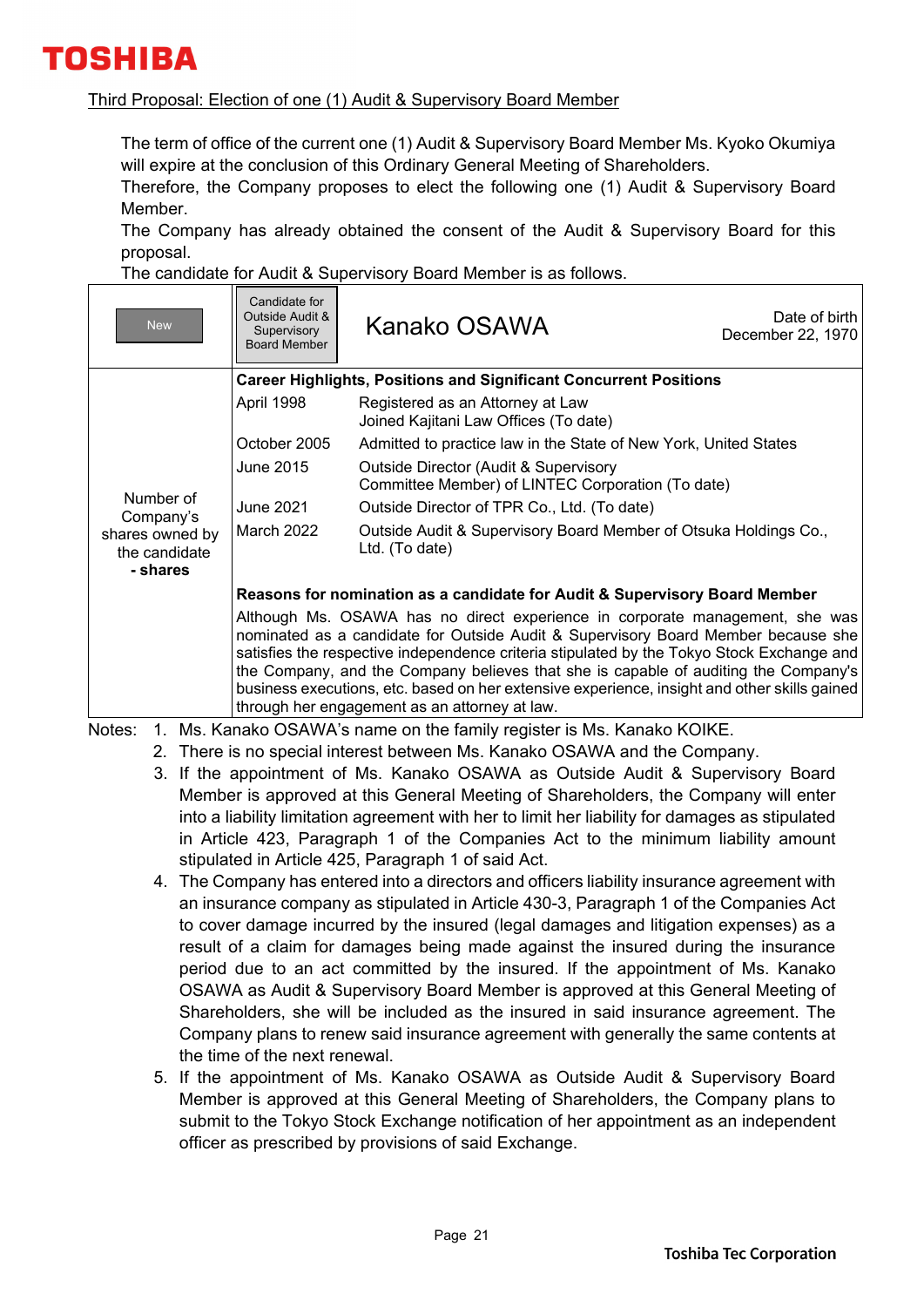### Third Proposal: Election of one (1) Audit & Supervisory Board Member

The term of office of the current one (1) Audit & Supervisory Board Member Ms. Kyoko Okumiya will expire at the conclusion of this Ordinary General Meeting of Shareholders.

Therefore, the Company proposes to elect the following one (1) Audit & Supervisory Board Member.

The Company has already obtained the consent of the Audit & Supervisory Board for this proposal.

The candidate for Audit & Supervisory Board Member is as follows.

| <b>New</b>                                   | Candidate for<br>Outside Audit &<br>Supervisory<br><b>Board Member</b>                                                                                                                                                                                                                                                                                                                                                                                | Kanako OSAWA                                                                                          | Date of birth I<br>December 22, 1970 |  |  |
|----------------------------------------------|-------------------------------------------------------------------------------------------------------------------------------------------------------------------------------------------------------------------------------------------------------------------------------------------------------------------------------------------------------------------------------------------------------------------------------------------------------|-------------------------------------------------------------------------------------------------------|--------------------------------------|--|--|
|                                              |                                                                                                                                                                                                                                                                                                                                                                                                                                                       | <b>Career Highlights, Positions and Significant Concurrent Positions</b>                              |                                      |  |  |
|                                              | April 1998                                                                                                                                                                                                                                                                                                                                                                                                                                            | Registered as an Attorney at Law<br>Joined Kajitani Law Offices (To date)                             |                                      |  |  |
|                                              | October 2005                                                                                                                                                                                                                                                                                                                                                                                                                                          | Admitted to practice law in the State of New York, United States                                      |                                      |  |  |
|                                              | June 2015                                                                                                                                                                                                                                                                                                                                                                                                                                             | <b>Outside Director (Audit &amp; Supervisory</b><br>Committee Member) of LINTEC Corporation (To date) |                                      |  |  |
| Number of<br>Company's                       | June 2021                                                                                                                                                                                                                                                                                                                                                                                                                                             | Outside Director of TPR Co., Ltd. (To date)                                                           |                                      |  |  |
| shares owned by<br>the candidate<br>- shares | March 2022                                                                                                                                                                                                                                                                                                                                                                                                                                            | Outside Audit & Supervisory Board Member of Otsuka Holdings Co.,<br>Ltd. (To date)                    |                                      |  |  |
|                                              | Reasons for nomination as a candidate for Audit & Supervisory Board Member                                                                                                                                                                                                                                                                                                                                                                            |                                                                                                       |                                      |  |  |
|                                              | Although Ms. OSAWA has no direct experience in corporate management, she was<br>nominated as a candidate for Outside Audit & Supervisory Board Member because she<br>satisfies the respective independence criteria stipulated by the Tokyo Stock Exchange and<br>the Company, and the Company believes that she is capable of auditing the Company's<br>business executions, etc. based on her extensive experience, insight and other skills gained |                                                                                                       |                                      |  |  |

Notes: 1. Ms. Kanako OSAWA's name on the family register is Ms. Kanako KOIKE.

- 2. There is no special interest between Ms. Kanako OSAWA and the Company.
- 3. If the appointment of Ms. Kanako OSAWA as Outside Audit & Supervisory Board Member is approved at this General Meeting of Shareholders, the Company will enter into a liability limitation agreement with her to limit her liability for damages as stipulated in Article 423, Paragraph 1 of the Companies Act to the minimum liability amount stipulated in Article 425, Paragraph 1 of said Act.
- 4. The Company has entered into a directors and officers liability insurance agreement with an insurance company as stipulated in Article 430-3, Paragraph 1 of the Companies Act to cover damage incurred by the insured (legal damages and litigation expenses) as a result of a claim for damages being made against the insured during the insurance period due to an act committed by the insured. If the appointment of Ms. Kanako OSAWA as Audit & Supervisory Board Member is approved at this General Meeting of Shareholders, she will be included as the insured in said insurance agreement. The Company plans to renew said insurance agreement with generally the same contents at the time of the next renewal.
- 5. If the appointment of Ms. Kanako OSAWA as Outside Audit & Supervisory Board Member is approved at this General Meeting of Shareholders, the Company plans to submit to the Tokyo Stock Exchange notification of her appointment as an independent officer as prescribed by provisions of said Exchange.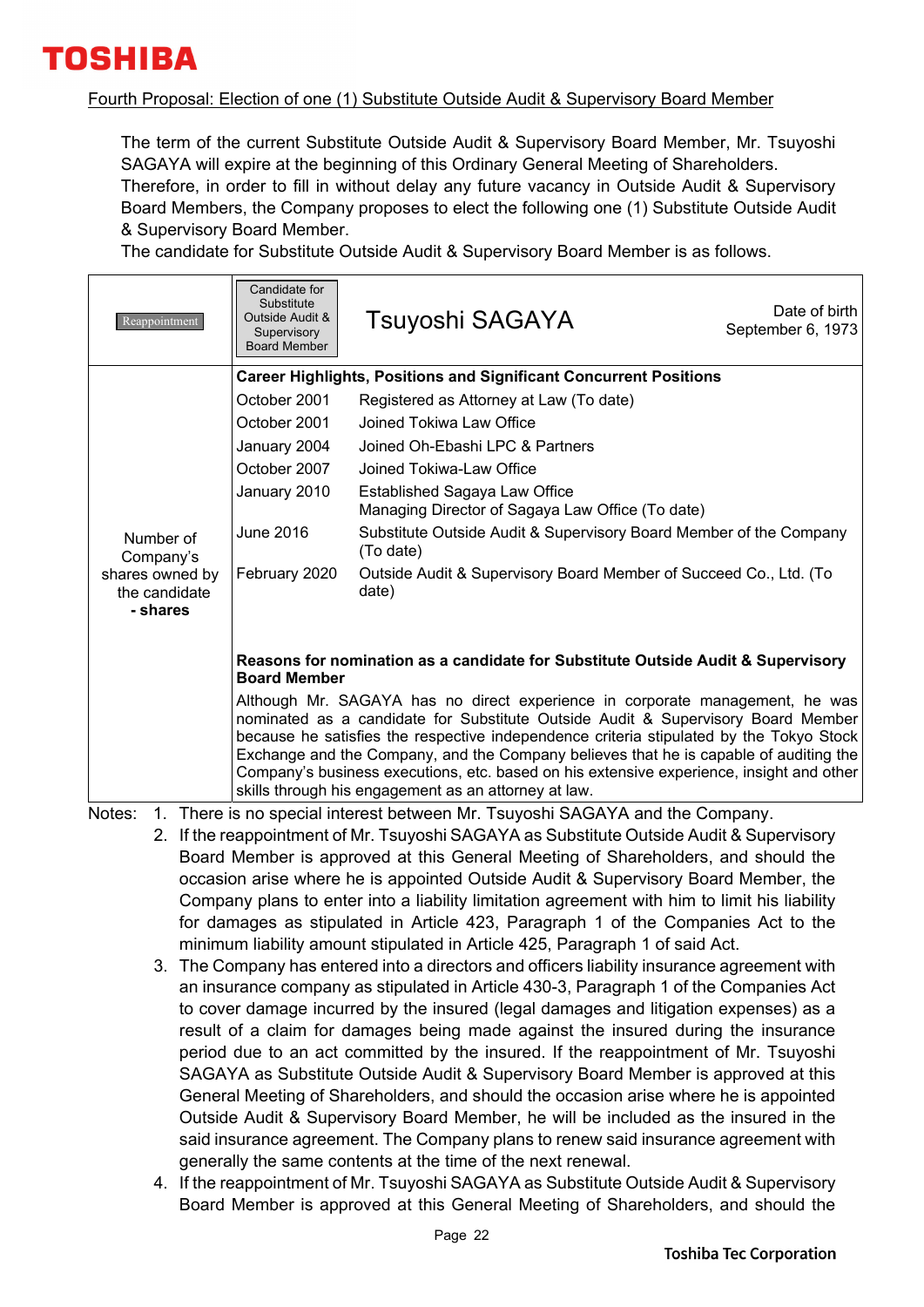

### Fourth Proposal: Election of one (1) Substitute Outside Audit & Supervisory Board Member

The term of the current Substitute Outside Audit & Supervisory Board Member, Mr. Tsuyoshi SAGAYA will expire at the beginning of this Ordinary General Meeting of Shareholders. Therefore, in order to fill in without delay any future vacancy in Outside Audit & Supervisory Board Members, the Company proposes to elect the following one (1) Substitute Outside Audit & Supervisory Board Member.

The candidate for Substitute Outside Audit & Supervisory Board Member is as follows.

| Reappointment                                | Candidate for<br>Substitute<br>Outside Audit &<br>Supervisory<br><b>Board Member</b> | Tsuyoshi SAGAYA                                                                                                                                                                                                                                                                                                                                                                                                                                                                                          | Date of birth<br>September 6, 1973 |  |  |  |
|----------------------------------------------|--------------------------------------------------------------------------------------|----------------------------------------------------------------------------------------------------------------------------------------------------------------------------------------------------------------------------------------------------------------------------------------------------------------------------------------------------------------------------------------------------------------------------------------------------------------------------------------------------------|------------------------------------|--|--|--|
|                                              |                                                                                      | <b>Career Highlights, Positions and Significant Concurrent Positions</b>                                                                                                                                                                                                                                                                                                                                                                                                                                 |                                    |  |  |  |
|                                              | October 2001                                                                         | Registered as Attorney at Law (To date)                                                                                                                                                                                                                                                                                                                                                                                                                                                                  |                                    |  |  |  |
|                                              | October 2001                                                                         | Joined Tokiwa Law Office                                                                                                                                                                                                                                                                                                                                                                                                                                                                                 |                                    |  |  |  |
|                                              | January 2004                                                                         | Joined Oh-Ebashi LPC & Partners                                                                                                                                                                                                                                                                                                                                                                                                                                                                          |                                    |  |  |  |
|                                              | October 2007                                                                         | Joined Tokiwa-Law Office                                                                                                                                                                                                                                                                                                                                                                                                                                                                                 |                                    |  |  |  |
|                                              | January 2010                                                                         | Established Sagaya Law Office<br>Managing Director of Sagaya Law Office (To date)                                                                                                                                                                                                                                                                                                                                                                                                                        |                                    |  |  |  |
| Number of<br>Company's                       | June 2016                                                                            | Substitute Outside Audit & Supervisory Board Member of the Company<br>(To date)                                                                                                                                                                                                                                                                                                                                                                                                                          |                                    |  |  |  |
| shares owned by<br>the candidate<br>- shares | February 2020                                                                        | Outside Audit & Supervisory Board Member of Succeed Co., Ltd. (To<br>date)                                                                                                                                                                                                                                                                                                                                                                                                                               |                                    |  |  |  |
|                                              | <b>Board Member</b>                                                                  | Reasons for nomination as a candidate for Substitute Outside Audit & Supervisory                                                                                                                                                                                                                                                                                                                                                                                                                         |                                    |  |  |  |
|                                              |                                                                                      | Although Mr. SAGAYA has no direct experience in corporate management, he was<br>nominated as a candidate for Substitute Outside Audit & Supervisory Board Member<br>because he satisfies the respective independence criteria stipulated by the Tokyo Stock<br>Exchange and the Company, and the Company believes that he is capable of auditing the<br>Company's business executions, etc. based on his extensive experience, insight and other<br>skills through his engagement as an attorney at law. |                                    |  |  |  |
| <b>N</b> 1 = 4 =<br>ᆍ<br>$\overline{A}$      |                                                                                      | $\frac{1}{2}$ is a substantial interest between $M_{\rm B}$ . Terms obj $\Omega$ AQAMA and the $\Omega_{\rm B}$                                                                                                                                                                                                                                                                                                                                                                                          |                                    |  |  |  |

Notes: 1. There is no special interest between Mr. Tsuyoshi SAGAYA and the Company.

- 2. If the reappointment of Mr. Tsuyoshi SAGAYA as Substitute Outside Audit & Supervisory Board Member is approved at this General Meeting of Shareholders, and should the occasion arise where he is appointed Outside Audit & Supervisory Board Member, the Company plans to enter into a liability limitation agreement with him to limit his liability for damages as stipulated in Article 423, Paragraph 1 of the Companies Act to the minimum liability amount stipulated in Article 425, Paragraph 1 of said Act.
- 3. The Company has entered into a directors and officers liability insurance agreement with an insurance company as stipulated in Article 430-3, Paragraph 1 of the Companies Act to cover damage incurred by the insured (legal damages and litigation expenses) as a result of a claim for damages being made against the insured during the insurance period due to an act committed by the insured. If the reappointment of Mr. Tsuyoshi SAGAYA as Substitute Outside Audit & Supervisory Board Member is approved at this General Meeting of Shareholders, and should the occasion arise where he is appointed Outside Audit & Supervisory Board Member, he will be included as the insured in the said insurance agreement. The Company plans to renew said insurance agreement with generally the same contents at the time of the next renewal.
- 4. If the reappointment of Mr. Tsuyoshi SAGAYA as Substitute Outside Audit & Supervisory Board Member is approved at this General Meeting of Shareholders, and should the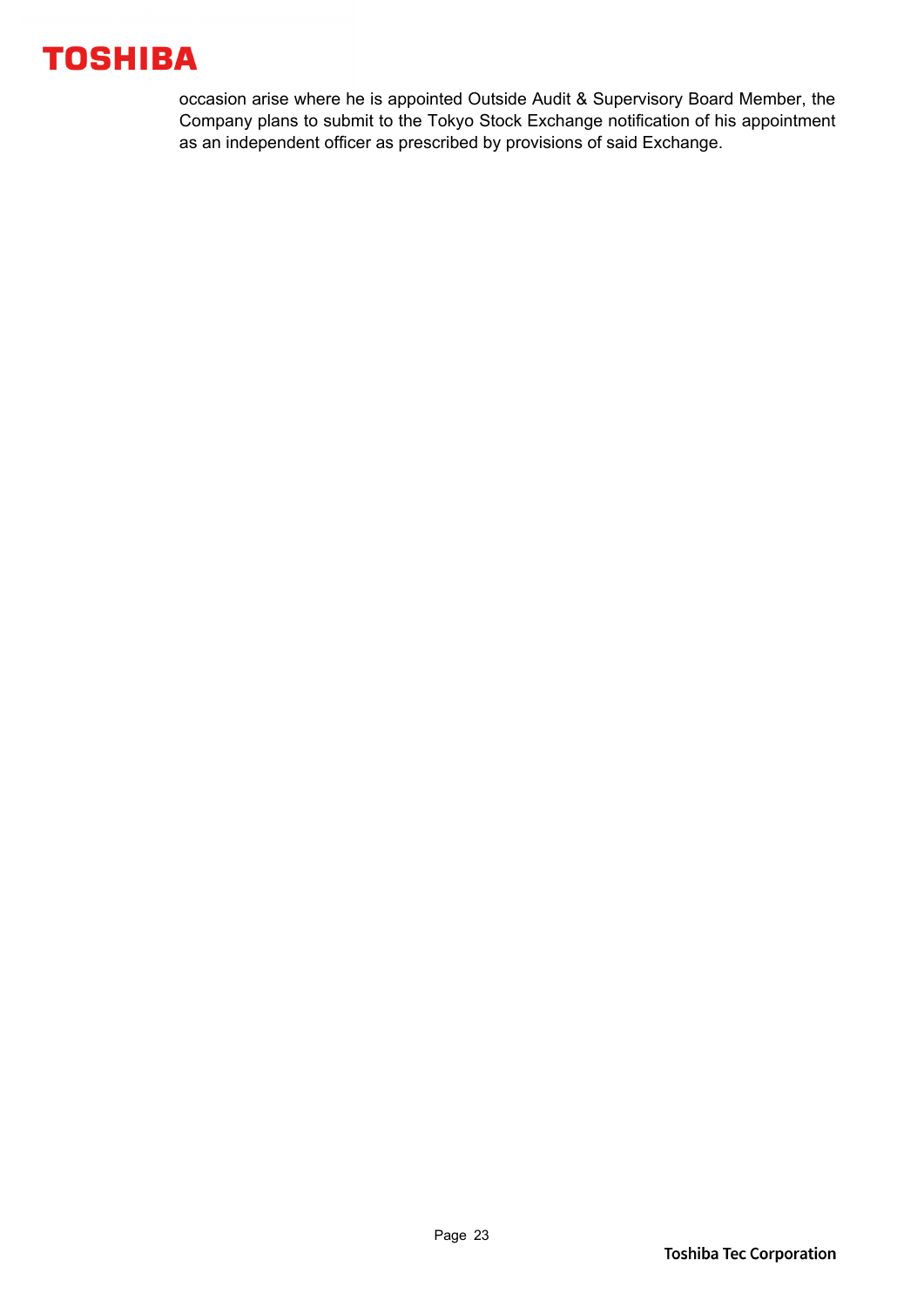occasion arise where he is appointed Outside Audit & Supervisory Board Member, the Company plans to submit to the Tokyo Stock Exchange notification of his appointment as an independent officer as prescribed by provisions of said Exchange.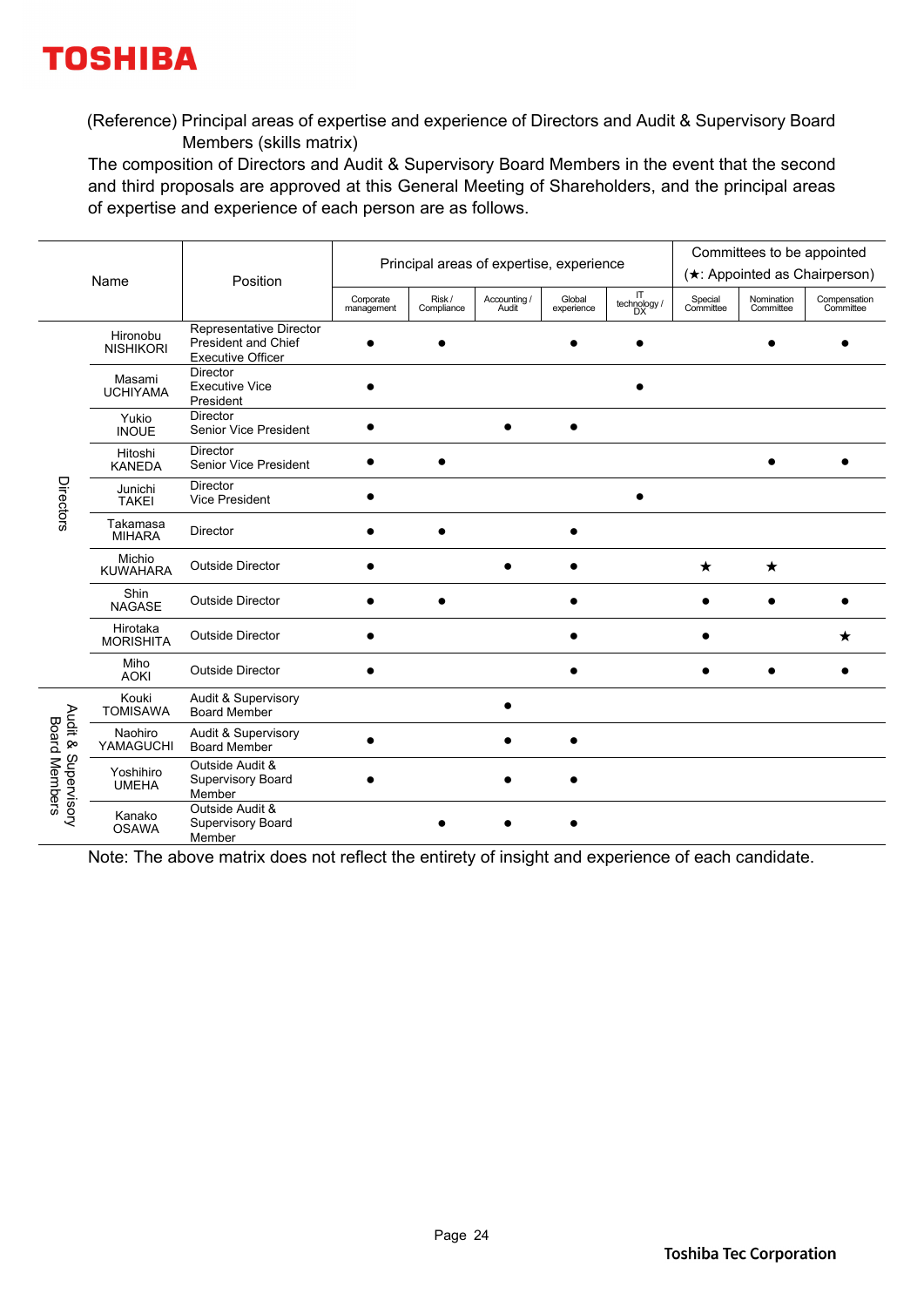

(Reference) Principal areas of expertise and experience of Directors and Audit & Supervisory Board Members (skills matrix)

The composition of Directors and Audit & Supervisory Board Members in the event that the second and third proposals are approved at this General Meeting of Shareholders, and the principal areas of expertise and experience of each person are as follows.

| Name                                           |                              | Position                                                                          | Principal areas of expertise, experience |                      |                       |                      |                                                                       | Committees to be appointed<br>(★: Appointed as Chairperson) |                         |                           |
|------------------------------------------------|------------------------------|-----------------------------------------------------------------------------------|------------------------------------------|----------------------|-----------------------|----------------------|-----------------------------------------------------------------------|-------------------------------------------------------------|-------------------------|---------------------------|
|                                                |                              |                                                                                   | Corporate<br>management                  | Risk /<br>Compliance | Accounting /<br>Audit | Global<br>experience | $\begin{array}{c}\n\overline{11} \\ \text{technology /}\n\end{array}$ | Special<br>Committee                                        | Nomination<br>Committee | Compensation<br>Committee |
|                                                | Hironobu<br><b>NISHIKORI</b> | Representative Director<br><b>President and Chief</b><br><b>Executive Officer</b> |                                          |                      |                       |                      |                                                                       |                                                             |                         |                           |
|                                                | Masami<br><b>UCHIYAMA</b>    | <b>Director</b><br><b>Executive Vice</b><br>President                             |                                          |                      |                       |                      |                                                                       |                                                             |                         |                           |
|                                                | Yukio<br><b>INOUE</b>        | <b>Director</b><br><b>Senior Vice President</b>                                   |                                          |                      |                       |                      |                                                                       |                                                             |                         |                           |
|                                                | Hitoshi<br><b>KANEDA</b>     | <b>Director</b><br><b>Senior Vice President</b>                                   |                                          |                      |                       |                      |                                                                       |                                                             |                         |                           |
| Directors                                      | Junichi<br><b>TAKEI</b>      | <b>Director</b><br><b>Vice President</b>                                          |                                          |                      |                       |                      |                                                                       |                                                             |                         |                           |
|                                                | Takamasa<br><b>MIHARA</b>    | Director                                                                          |                                          |                      |                       |                      |                                                                       |                                                             |                         |                           |
|                                                | Michio<br><b>KUWAHARA</b>    | <b>Outside Director</b>                                                           |                                          |                      |                       |                      |                                                                       | ★                                                           | ★                       |                           |
|                                                | Shin<br><b>NAGASE</b>        | <b>Outside Director</b>                                                           |                                          |                      |                       |                      |                                                                       |                                                             |                         |                           |
|                                                | Hirotaka<br><b>MORISHITA</b> | <b>Outside Director</b>                                                           |                                          |                      |                       |                      |                                                                       |                                                             |                         | ★                         |
|                                                | Miho<br><b>AOKI</b>          | <b>Outside Director</b>                                                           |                                          |                      |                       |                      |                                                                       |                                                             |                         |                           |
| Audit &<br><b>Board Members</b><br>Supervisory | Kouki<br><b>TOMISAWA</b>     | <b>Audit &amp; Supervisory</b><br><b>Board Member</b>                             |                                          |                      |                       |                      |                                                                       |                                                             |                         |                           |
|                                                | Naohiro<br>YAMAGUCHI         | <b>Audit &amp; Supervisory</b><br><b>Board Member</b>                             |                                          |                      |                       |                      |                                                                       |                                                             |                         |                           |
|                                                | Yoshihiro<br><b>UMEHA</b>    | Outside Audit &<br><b>Supervisory Board</b><br>Member                             |                                          |                      |                       |                      |                                                                       |                                                             |                         |                           |
|                                                | Kanako<br><b>OSAWA</b>       | Outside Audit &<br><b>Supervisory Board</b><br>Member                             |                                          |                      |                       |                      |                                                                       |                                                             |                         |                           |

Note: The above matrix does not reflect the entirety of insight and experience of each candidate.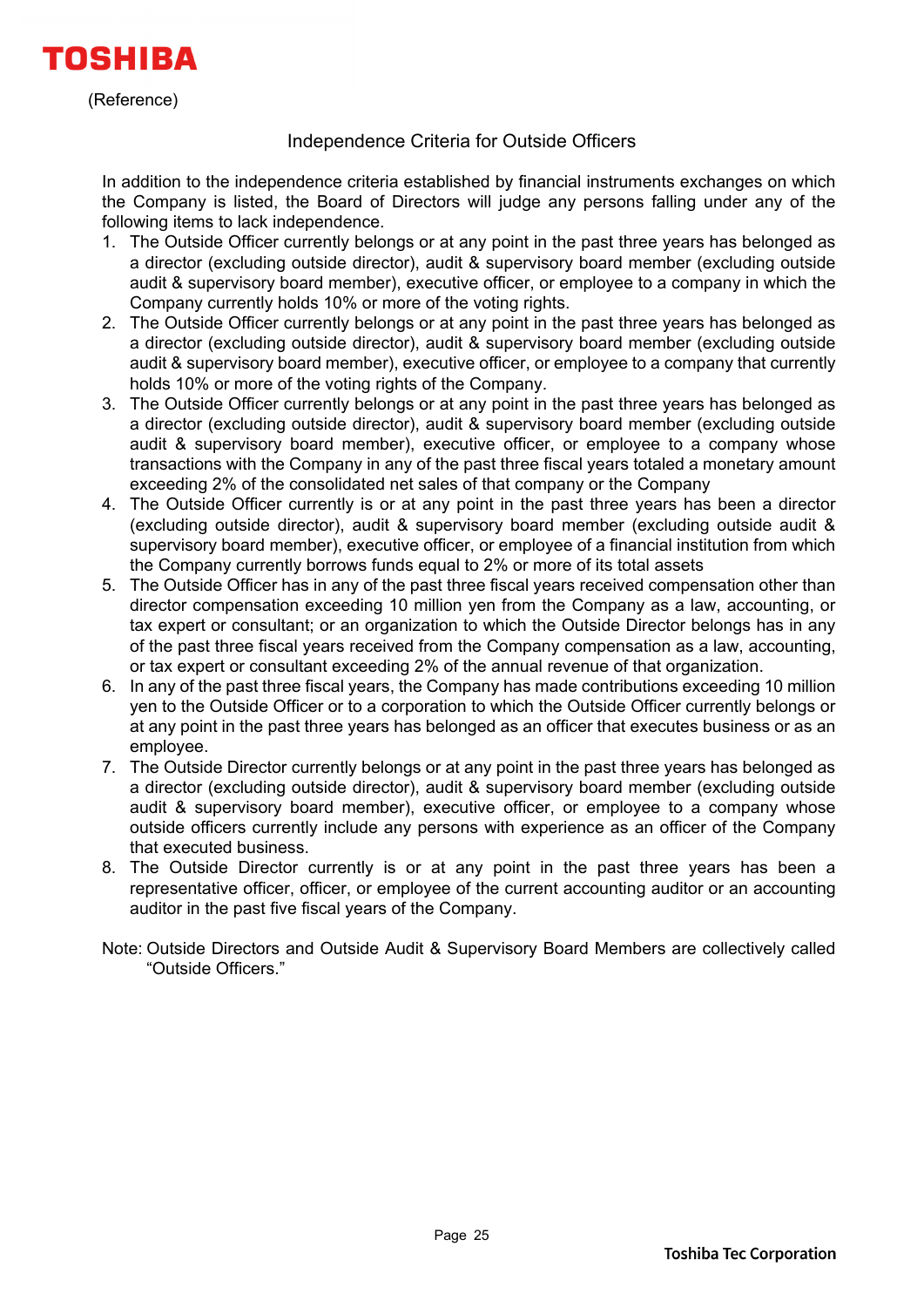

(Reference)

### Independence Criteria for Outside Officers

In addition to the independence criteria established by financial instruments exchanges on which the Company is listed, the Board of Directors will judge any persons falling under any of the following items to lack independence.

- 1. The Outside Officer currently belongs or at any point in the past three years has belonged as a director (excluding outside director), audit & supervisory board member (excluding outside audit & supervisory board member), executive officer, or employee to a company in which the Company currently holds 10% or more of the voting rights.
- 2. The Outside Officer currently belongs or at any point in the past three years has belonged as a director (excluding outside director), audit & supervisory board member (excluding outside audit & supervisory board member), executive officer, or employee to a company that currently holds 10% or more of the voting rights of the Company.
- 3. The Outside Officer currently belongs or at any point in the past three years has belonged as a director (excluding outside director), audit & supervisory board member (excluding outside audit & supervisory board member), executive officer, or employee to a company whose transactions with the Company in any of the past three fiscal years totaled a monetary amount exceeding 2% of the consolidated net sales of that company or the Company
- 4. The Outside Officer currently is or at any point in the past three years has been a director (excluding outside director), audit & supervisory board member (excluding outside audit & supervisory board member), executive officer, or employee of a financial institution from which the Company currently borrows funds equal to 2% or more of its total assets
- 5. The Outside Officer has in any of the past three fiscal years received compensation other than director compensation exceeding 10 million yen from the Company as a law, accounting, or tax expert or consultant; or an organization to which the Outside Director belongs has in any of the past three fiscal years received from the Company compensation as a law, accounting, or tax expert or consultant exceeding 2% of the annual revenue of that organization.
- 6. In any of the past three fiscal years, the Company has made contributions exceeding 10 million yen to the Outside Officer or to a corporation to which the Outside Officer currently belongs or at any point in the past three years has belonged as an officer that executes business or as an employee.
- 7. The Outside Director currently belongs or at any point in the past three years has belonged as a director (excluding outside director), audit & supervisory board member (excluding outside audit & supervisory board member), executive officer, or employee to a company whose outside officers currently include any persons with experience as an officer of the Company that executed business.
- 8. The Outside Director currently is or at any point in the past three years has been a representative officer, officer, or employee of the current accounting auditor or an accounting auditor in the past five fiscal years of the Company.

Note: Outside Directors and Outside Audit & Supervisory Board Members are collectively called "Outside Officers."